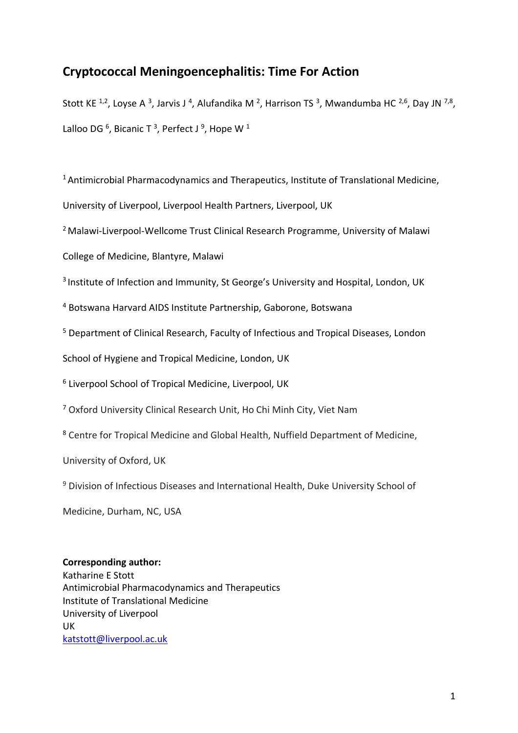# **Cryptococcal Meningoencephalitis: Time For Action**

Stott KE <sup>1,2</sup>, Loyse A <sup>3</sup>, Jarvis J <sup>4</sup>, Alufandika M <sup>2</sup>, Harrison TS <sup>3</sup>, Mwandumba HC <sup>2,6</sup>, Day JN <sup>7,8</sup>, Lalloo DG  $^6$ , Bicanic T  $^3$ , Perfect J  $^9$ , Hope W  $^1$ 

<sup>1</sup> Antimicrobial Pharmacodynamics and Therapeutics, Institute of Translational Medicine,

University of Liverpool, Liverpool Health Partners, Liverpool, UK

<sup>2</sup> Malawi-Liverpool-Wellcome Trust Clinical Research Programme, University of Malawi

College of Medicine, Blantyre, Malawi

<sup>3</sup> Institute of Infection and Immunity, St George's University and Hospital, London, UK

<sup>4</sup> Botswana Harvard AIDS Institute Partnership, Gaborone, Botswana

<sup>5</sup> Department of Clinical Research, Faculty of Infectious and Tropical Diseases, London

School of Hygiene and Tropical Medicine, London, UK

<sup>6</sup> Liverpool School of Tropical Medicine, Liverpool, UK

<sup>7</sup> Oxford University Clinical Research Unit, Ho Chi Minh City, Viet Nam

<sup>8</sup> Centre for Tropical Medicine and Global Health, Nuffield Department of Medicine,

University of Oxford, UK

<sup>9</sup> Division of Infectious Diseases and International Health, Duke University School of

Medicine, Durham, NC, USA

# **Corresponding author:**

Katharine E Stott Antimicrobial Pharmacodynamics and Therapeutics Institute of Translational Medicine University of Liverpool UK [katstott@liverpool.ac.uk](mailto:katstott@liverpool.ac.uk)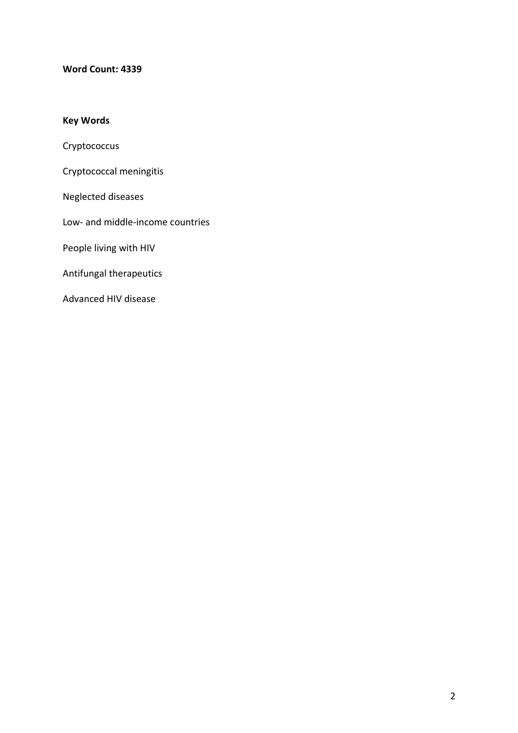### **Word Count: 4339**

# **Key Words**

Cryptococcus

Cryptococcal meningitis

Neglected diseases

Low- and middle-income countries

People living with HIV

Antifungal therapeutics

Advanced HIV disease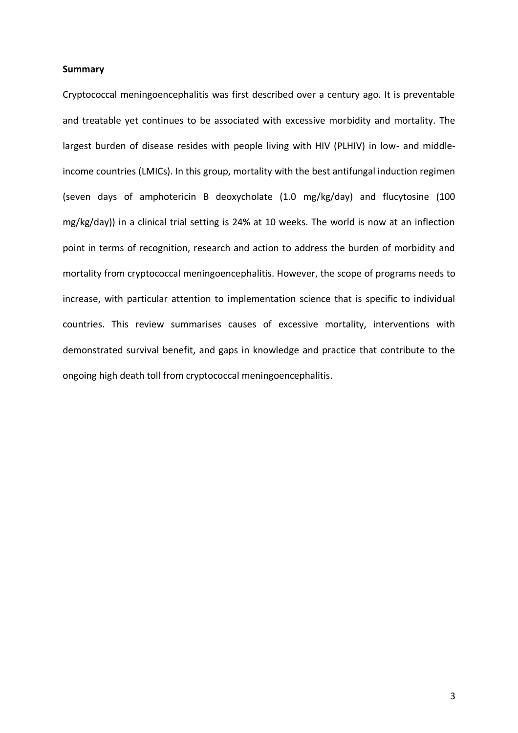#### **Summary**

Cryptococcal meningoencephalitis was first described over a century ago. It is preventable and treatable yet continues to be associated with excessive morbidity and mortality. The largest burden of disease resides with people living with HIV (PLHIV) in low- and middleincome countries (LMICs). In this group, mortality with the best antifungal induction regimen (seven days of amphotericin B deoxycholate (1.0 mg/kg/day) and flucytosine (100 mg/kg/day)) in a clinical trial setting is 24% at 10 weeks. The world is now at an inflection point in terms of recognition, research and action to address the burden of morbidity and mortality from cryptococcal meningoencephalitis. However, the scope of programs needs to increase, with particular attention to implementation science that is specific to individual countries. This review summarises causes of excessive mortality, interventions with demonstrated survival benefit, and gaps in knowledge and practice that contribute to the ongoing high death toll from cryptococcal meningoencephalitis.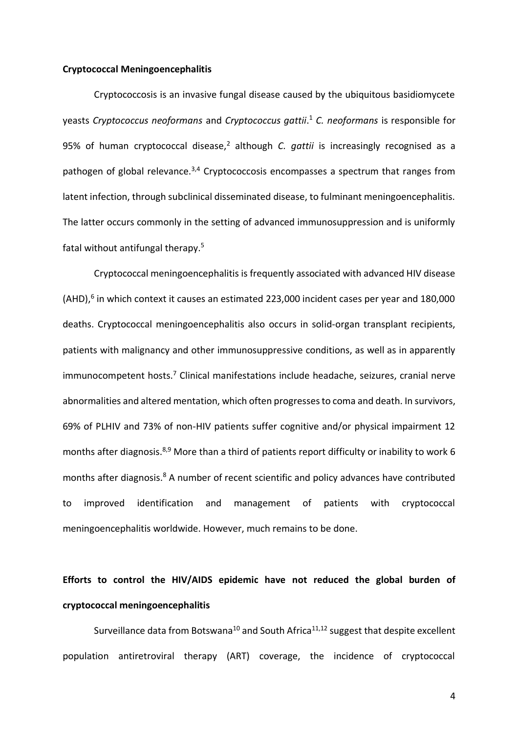#### **Cryptococcal Meningoencephalitis**

Cryptococcosis is an invasive fungal disease caused by the ubiquitous basidiomycete yeasts *Cryptococcus neoformans* and *Cryptococcus gattii*. <sup>1</sup> *C. neoformans* is responsible for 95% of human cryptococcal disease,<sup>2</sup> although *C. gattii* is increasingly recognised as a pathogen of global relevance.<sup>3,4</sup> Cryptococcosis encompasses a spectrum that ranges from latent infection, through subclinical disseminated disease, to fulminant meningoencephalitis. The latter occurs commonly in the setting of advanced immunosuppression and is uniformly fatal without antifungal therapy.<sup>5</sup>

Cryptococcal meningoencephalitis is frequently associated with advanced HIV disease  $(AHD)$ ,<sup>6</sup> in which context it causes an estimated 223,000 incident cases per year and 180,000 deaths. Cryptococcal meningoencephalitis also occurs in solid-organ transplant recipients, patients with malignancy and other immunosuppressive conditions, as well as in apparently immunocompetent hosts.<sup>7</sup> Clinical manifestations include headache, seizures, cranial nerve abnormalities and altered mentation, which often progresses to coma and death. In survivors, 69% of PLHIV and 73% of non-HIV patients suffer cognitive and/or physical impairment 12 months after diagnosis.<sup>8,9</sup> More than a third of patients report difficulty or inability to work 6 months after diagnosis.<sup>8</sup> A number of recent scientific and policy advances have contributed to improved identification and management of patients with cryptococcal meningoencephalitis worldwide. However, much remains to be done.

# **Efforts to control the HIV/AIDS epidemic have not reduced the global burden of cryptococcal meningoencephalitis**

Surveillance data from Botswana<sup>10</sup> and South Africa<sup>11,12</sup> suggest that despite excellent population antiretroviral therapy (ART) coverage, the incidence of cryptococcal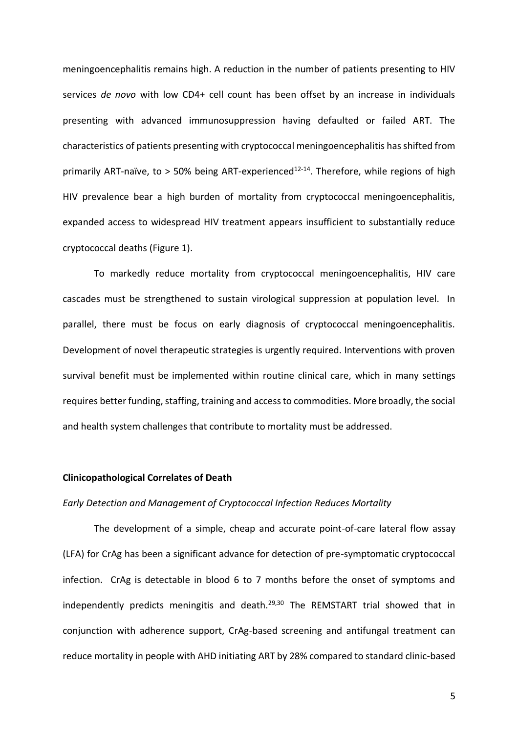meningoencephalitis remains high. A reduction in the number of patients presenting to HIV services *de novo* with low CD4+ cell count has been offset by an increase in individuals presenting with advanced immunosuppression having defaulted or failed ART. The characteristics of patients presenting with cryptococcal meningoencephalitis has shifted from primarily ART-naïve, to > 50% being ART-experienced<sup>12-14</sup>. Therefore, while regions of high HIV prevalence bear a high burden of mortality from cryptococcal meningoencephalitis, expanded access to widespread HIV treatment appears insufficient to substantially reduce cryptococcal deaths (Figure 1).

To markedly reduce mortality from cryptococcal meningoencephalitis, HIV care cascades must be strengthened to sustain virological suppression at population level. In parallel, there must be focus on early diagnosis of cryptococcal meningoencephalitis. Development of novel therapeutic strategies is urgently required. Interventions with proven survival benefit must be implemented within routine clinical care, which in many settings requires better funding, staffing, training and access to commodities. More broadly, the social and health system challenges that contribute to mortality must be addressed.

#### **Clinicopathological Correlates of Death**

#### *Early Detection and Management of Cryptococcal Infection Reduces Mortality*

The development of a simple, cheap and accurate point-of-care lateral flow assay (LFA) for CrAg has been a significant advance for detection of pre-symptomatic cryptococcal infection. CrAg is detectable in blood 6 to 7 months before the onset of symptoms and independently predicts meningitis and death.29,30 The REMSTART trial showed that in conjunction with adherence support, CrAg-based screening and antifungal treatment can reduce mortality in people with AHD initiating ART by 28% compared to standard clinic-based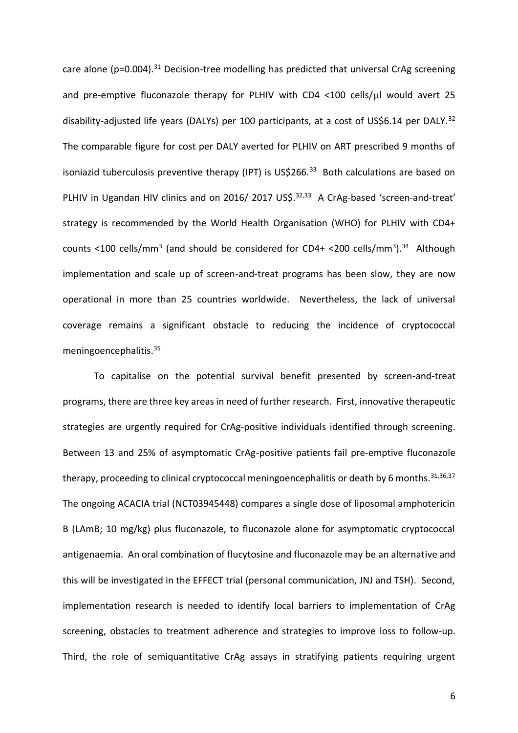care alone ( $p=0.004$ ).<sup>31</sup> Decision-tree modelling has predicted that universal CrAg screening and pre-emptive fluconazole therapy for PLHIV with CD4 <100 cells/ $\mu$ l would avert 25 disability-adjusted life years (DALYs) per 100 participants, at a cost of US\$6.14 per DALY.<sup>32</sup> The comparable figure for cost per DALY averted for PLHIV on ART prescribed 9 months of isoniazid tuberculosis preventive therapy (IPT) is US\$266.<sup>33</sup> Both calculations are based on PLHIV in Ugandan HIV clinics and on 2016/ 2017 US\$.<sup>32,33</sup> A CrAg-based 'screen-and-treat' strategy is recommended by the World Health Organisation (WHO) for PLHIV with CD4+ counts <100 cells/mm<sup>3</sup> (and should be considered for CD4+ <200 cells/mm<sup>3</sup>).<sup>34</sup> Although implementation and scale up of screen-and-treat programs has been slow, they are now operational in more than 25 countries worldwide. Nevertheless, the lack of universal coverage remains a significant obstacle to reducing the incidence of cryptococcal meningoencephalitis.<sup>35</sup>

To capitalise on the potential survival benefit presented by screen-and-treat programs, there are three key areas in need of further research. First, innovative therapeutic strategies are urgently required for CrAg-positive individuals identified through screening. Between 13 and 25% of asymptomatic CrAg-positive patients fail pre-emptive fluconazole therapy, proceeding to clinical cryptococcal meningoencephalitis or death by 6 months.<sup>31,36,37</sup> The ongoing ACACIA trial (NCT03945448) compares a single dose of liposomal amphotericin B (LAmB; 10 mg/kg) plus fluconazole, to fluconazole alone for asymptomatic cryptococcal antigenaemia. An oral combination of flucytosine and fluconazole may be an alternative and this will be investigated in the EFFECT trial (personal communication, JNJ and TSH). Second, implementation research is needed to identify local barriers to implementation of CrAg screening, obstacles to treatment adherence and strategies to improve loss to follow-up. Third, the role of semiquantitative CrAg assays in stratifying patients requiring urgent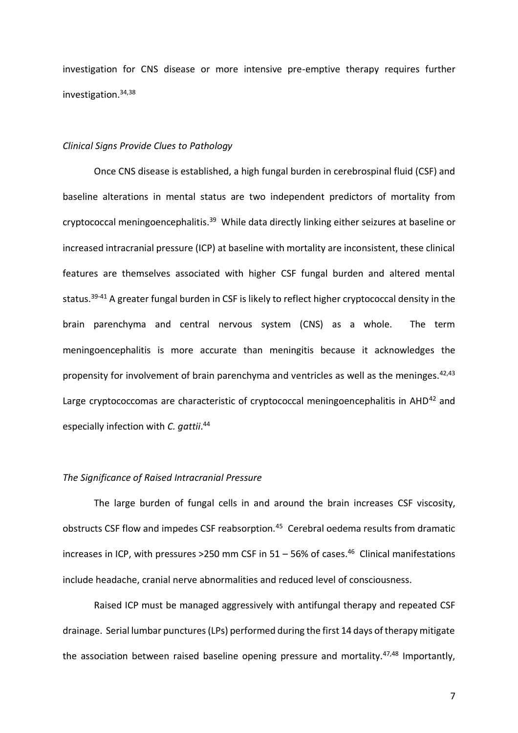investigation for CNS disease or more intensive pre-emptive therapy requires further investigation.34,38

#### *Clinical Signs Provide Clues to Pathology*

Once CNS disease is established, a high fungal burden in cerebrospinal fluid (CSF) and baseline alterations in mental status are two independent predictors of mortality from cryptococcal meningoencephalitis.<sup>39</sup> While data directly linking either seizures at baseline or increased intracranial pressure (ICP) at baseline with mortality are inconsistent, these clinical features are themselves associated with higher CSF fungal burden and altered mental status.<sup>39-41</sup> A greater fungal burden in CSF is likely to reflect higher cryptococcal density in the brain parenchyma and central nervous system (CNS) as a whole. The term meningoencephalitis is more accurate than meningitis because it acknowledges the propensity for involvement of brain parenchyma and ventricles as well as the meninges.<sup>42,43</sup> Large cryptococcomas are characteristic of cryptococcal meningoencephalitis in AHD<sup>42</sup> and especially infection with *C. gattii*. 44

#### *The Significance of Raised Intracranial Pressure*

The large burden of fungal cells in and around the brain increases CSF viscosity, obstructs CSF flow and impedes CSF reabsorption.<sup>45</sup> Cerebral oedema results from dramatic increases in ICP, with pressures >250 mm CSF in  $51 - 56%$  of cases.<sup>46</sup> Clinical manifestations include headache, cranial nerve abnormalities and reduced level of consciousness.

Raised ICP must be managed aggressively with antifungal therapy and repeated CSF drainage. Serial lumbar punctures (LPs) performed during the first 14 days of therapy mitigate the association between raised baseline opening pressure and mortality.<sup>47,48</sup> Importantly,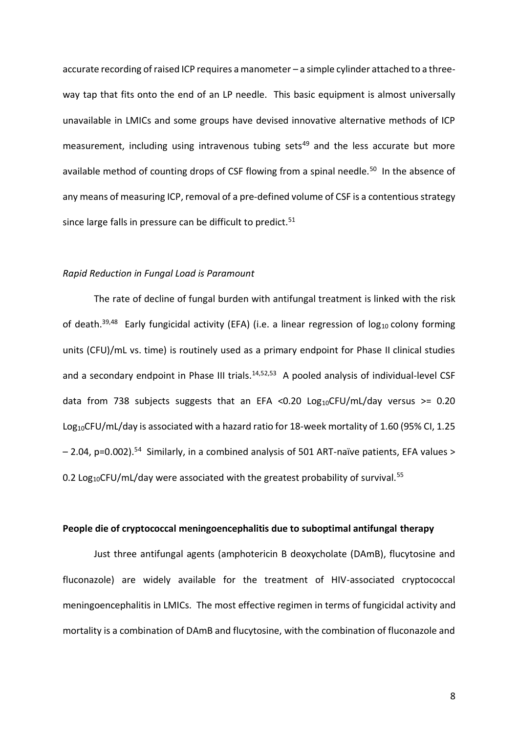accurate recording of raised ICP requires a manometer – a simple cylinder attached to a threeway tap that fits onto the end of an LP needle. This basic equipment is almost universally unavailable in LMICs and some groups have devised innovative alternative methods of ICP measurement, including using intravenous tubing sets<sup>49</sup> and the less accurate but more available method of counting drops of CSF flowing from a spinal needle.<sup>50</sup> In the absence of any means of measuring ICP, removal of a pre-defined volume of CSF is a contentious strategy since large falls in pressure can be difficult to predict.<sup>51</sup>

#### *Rapid Reduction in Fungal Load is Paramount*

The rate of decline of fungal burden with antifungal treatment is linked with the risk of death.<sup>39,48</sup> Early fungicidal activity (EFA) (i.e. a linear regression of log<sub>10</sub> colony forming units (CFU)/mL vs. time) is routinely used as a primary endpoint for Phase II clinical studies and a secondary endpoint in Phase III trials.<sup>14,52,53</sup> A pooled analysis of individual-level CSF data from 738 subjects suggests that an EFA < 0.20 Log<sub>10</sub>CFU/mL/day versus > = 0.20 Log<sub>10</sub>CFU/mL/day is associated with a hazard ratio for 18-week mortality of 1.60 (95% CI, 1.25 - 2.04, p=0.002).<sup>54</sup> Similarly, in a combined analysis of 501 ART-naïve patients, EFA values > 0.2 Log<sub>10</sub>CFU/mL/day were associated with the greatest probability of survival.<sup>55</sup>

#### **People die of cryptococcal meningoencephalitis due to suboptimal antifungal therapy**

Just three antifungal agents (amphotericin B deoxycholate (DAmB), flucytosine and fluconazole) are widely available for the treatment of HIV-associated cryptococcal meningoencephalitis in LMICs. The most effective regimen in terms of fungicidal activity and mortality is a combination of DAmB and flucytosine, with the combination of fluconazole and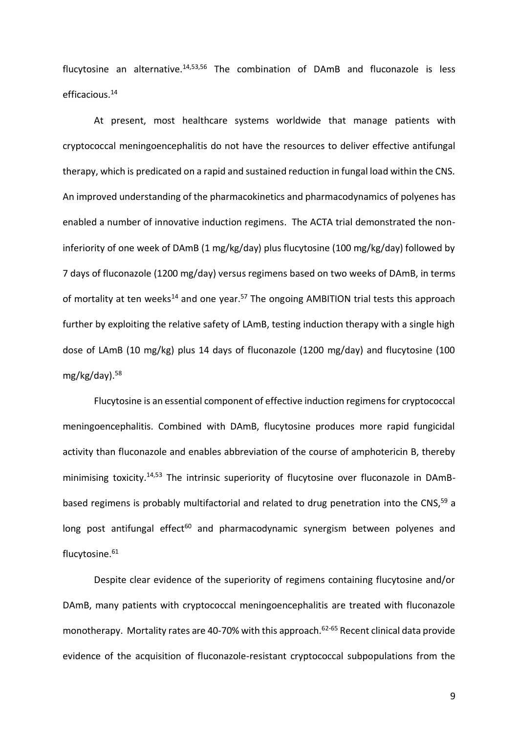flucytosine an alternative. $14,53,56$  The combination of DAmB and fluconazole is less efficacious.<sup>14</sup>

At present, most healthcare systems worldwide that manage patients with cryptococcal meningoencephalitis do not have the resources to deliver effective antifungal therapy, which is predicated on a rapid and sustained reduction in fungal load within the CNS. An improved understanding of the pharmacokinetics and pharmacodynamics of polyenes has enabled a number of innovative induction regimens. The ACTA trial demonstrated the noninferiority of one week of DAmB (1 mg/kg/day) plus flucytosine (100 mg/kg/day) followed by 7 days of fluconazole (1200 mg/day) versus regimens based on two weeks of DAmB, in terms of mortality at ten weeks<sup>14</sup> and one year.<sup>57</sup> The ongoing AMBITION trial tests this approach further by exploiting the relative safety of LAmB, testing induction therapy with a single high dose of LAmB (10 mg/kg) plus 14 days of fluconazole (1200 mg/day) and flucytosine (100 mg/kg/day). 58

Flucytosine is an essential component of effective induction regimens for cryptococcal meningoencephalitis. Combined with DAmB, flucytosine produces more rapid fungicidal activity than fluconazole and enables abbreviation of the course of amphotericin B, thereby minimising toxicity.<sup>14,53</sup> The intrinsic superiority of flucytosine over fluconazole in DAmBbased regimens is probably multifactorial and related to drug penetration into the CNS,<sup>59</sup> a long post antifungal effect<sup>60</sup> and pharmacodynamic synergism between polyenes and flucytosine.<sup>61</sup>

Despite clear evidence of the superiority of regimens containing flucytosine and/or DAmB, many patients with cryptococcal meningoencephalitis are treated with fluconazole monotherapy. Mortality rates are 40-70% with this approach.<sup>62-65</sup> Recent clinical data provide evidence of the acquisition of fluconazole-resistant cryptococcal subpopulations from the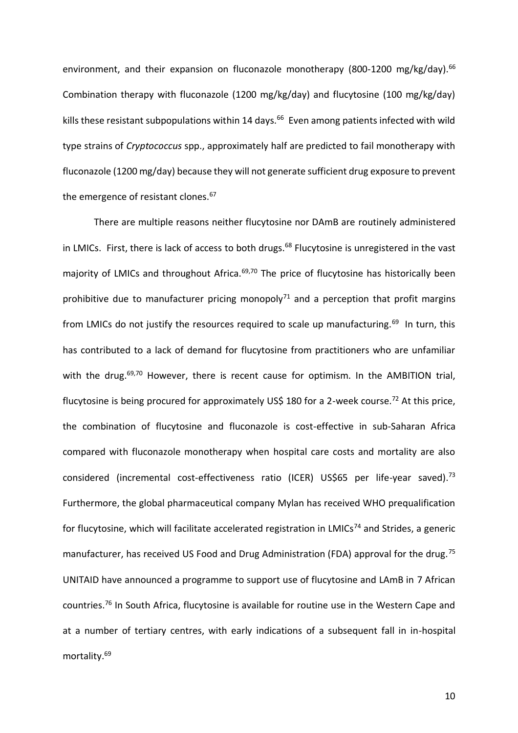environment, and their expansion on fluconazole monotherapy (800-1200 mg/kg/day).<sup>66</sup> Combination therapy with fluconazole (1200 mg/kg/day) and flucytosine (100 mg/kg/day) kills these resistant subpopulations within 14 days.<sup>66</sup> Even among patients infected with wild type strains of *Cryptococcus* spp., approximately half are predicted to fail monotherapy with fluconazole (1200 mg/day) because they will not generate sufficient drug exposure to prevent the emergence of resistant clones.<sup>67</sup>

There are multiple reasons neither flucytosine nor DAmB are routinely administered in LMICs. First, there is lack of access to both drugs.<sup>68</sup> Flucytosine is unregistered in the vast majority of LMICs and throughout Africa.<sup>69,70</sup> The price of flucytosine has historically been prohibitive due to manufacturer pricing monopoly<sup>71</sup> and a perception that profit margins from LMICs do not justify the resources required to scale up manufacturing.<sup>69</sup> In turn, this has contributed to a lack of demand for flucytosine from practitioners who are unfamiliar with the drug. $69,70$  However, there is recent cause for optimism. In the AMBITION trial, flucytosine is being procured for approximately US\$ 180 for a 2-week course.<sup>72</sup> At this price, the combination of flucytosine and fluconazole is cost-effective in sub-Saharan Africa compared with fluconazole monotherapy when hospital care costs and mortality are also considered (incremental cost-effectiveness ratio (ICER) US\$65 per life-year saved).<sup>73</sup> Furthermore, the global pharmaceutical company Mylan has received WHO prequalification for flucytosine, which will facilitate accelerated registration in LMICs<sup>74</sup> and Strides, a generic manufacturer, has received US Food and Drug Administration (FDA) approval for the drug.<sup>75</sup> UNITAID have announced a programme to support use of flucytosine and LAmB in 7 African countries.<sup>76</sup> In South Africa, flucytosine is available for routine use in the Western Cape and at a number of tertiary centres, with early indications of a subsequent fall in in-hospital mortality.69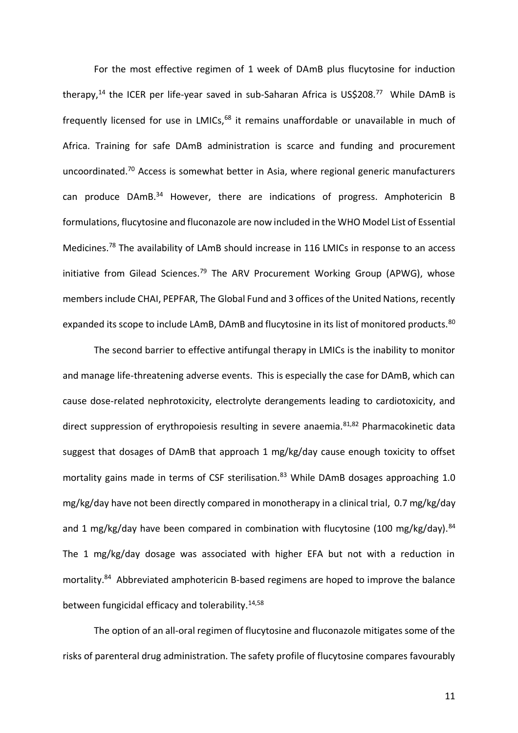For the most effective regimen of 1 week of DAmB plus flucytosine for induction therapy,<sup>14</sup> the ICER per life-year saved in sub-Saharan Africa is US\$208.<sup>77</sup> While DAmB is frequently licensed for use in LMICs, $68$  it remains unaffordable or unavailable in much of Africa. Training for safe DAmB administration is scarce and funding and procurement uncoordinated.<sup>70</sup> Access is somewhat better in Asia, where regional generic manufacturers can produce DAmB.<sup>34</sup> However, there are indications of progress. Amphotericin B formulations, flucytosine and fluconazole are now included in the WHO Model List of Essential Medicines.<sup>78</sup> The availability of LAmB should increase in 116 LMICs in response to an access initiative from Gilead Sciences.<sup>79</sup> The ARV Procurement Working Group (APWG), whose members include CHAI, PEPFAR, The Global Fund and 3 offices of the United Nations, recently expanded its scope to include LAmB, DAmB and flucytosine in its list of monitored products.<sup>80</sup>

The second barrier to effective antifungal therapy in LMICs is the inability to monitor and manage life-threatening adverse events. This is especially the case for DAmB, which can cause dose-related nephrotoxicity, electrolyte derangements leading to cardiotoxicity, and direct suppression of erythropoiesis resulting in severe anaemia.<sup>81,82</sup> Pharmacokinetic data suggest that dosages of DAmB that approach 1 mg/kg/day cause enough toxicity to offset mortality gains made in terms of CSF sterilisation.<sup>83</sup> While DAmB dosages approaching 1.0 mg/kg/day have not been directly compared in monotherapy in a clinical trial, 0.7 mg/kg/day and 1 mg/kg/day have been compared in combination with flucytosine (100 mg/kg/day). $84$ The 1 mg/kg/day dosage was associated with higher EFA but not with a reduction in mortality.<sup>84</sup> Abbreviated amphotericin B-based regimens are hoped to improve the balance between fungicidal efficacy and tolerability.14,58

The option of an all-oral regimen of flucytosine and fluconazole mitigates some of the risks of parenteral drug administration. The safety profile of flucytosine compares favourably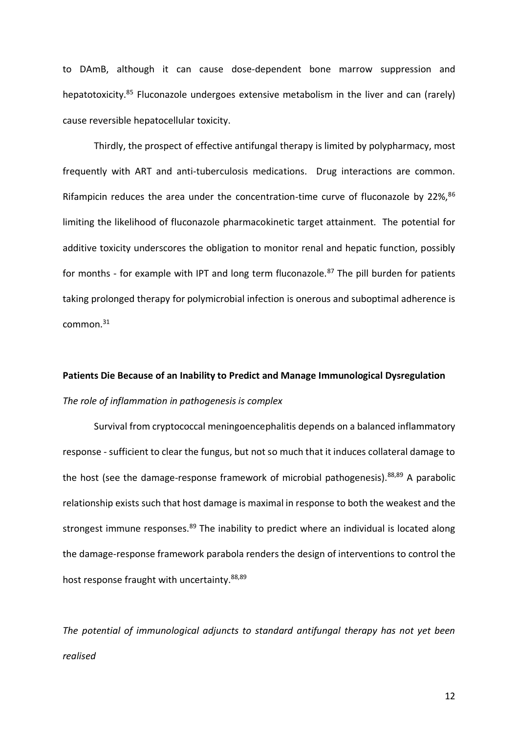to DAmB, although it can cause dose-dependent bone marrow suppression and hepatotoxicity.<sup>85</sup> Fluconazole undergoes extensive metabolism in the liver and can (rarely) cause reversible hepatocellular toxicity.

Thirdly, the prospect of effective antifungal therapy is limited by polypharmacy, most frequently with ART and anti-tuberculosis medications. Drug interactions are common. Rifampicin reduces the area under the concentration-time curve of fluconazole by  $22\%,^{86}$ limiting the likelihood of fluconazole pharmacokinetic target attainment. The potential for additive toxicity underscores the obligation to monitor renal and hepatic function, possibly for months - for example with IPT and long term fluconazole.<sup>87</sup> The pill burden for patients taking prolonged therapy for polymicrobial infection is onerous and suboptimal adherence is common.<sup>31</sup>

# **Patients Die Because of an Inability to Predict and Manage Immunological Dysregulation**  *The role of inflammation in pathogenesis is complex*

Survival from cryptococcal meningoencephalitis depends on a balanced inflammatory response - sufficient to clear the fungus, but not so much that it induces collateral damage to the host (see the damage-response framework of microbial pathogenesis).<sup>88,89</sup> A parabolic relationship exists such that host damage is maximal in response to both the weakest and the strongest immune responses.<sup>89</sup> The inability to predict where an individual is located along the damage-response framework parabola renders the design of interventions to control the host response fraught with uncertainty.<sup>88,89</sup>

*The potential of immunological adjuncts to standard antifungal therapy has not yet been realised*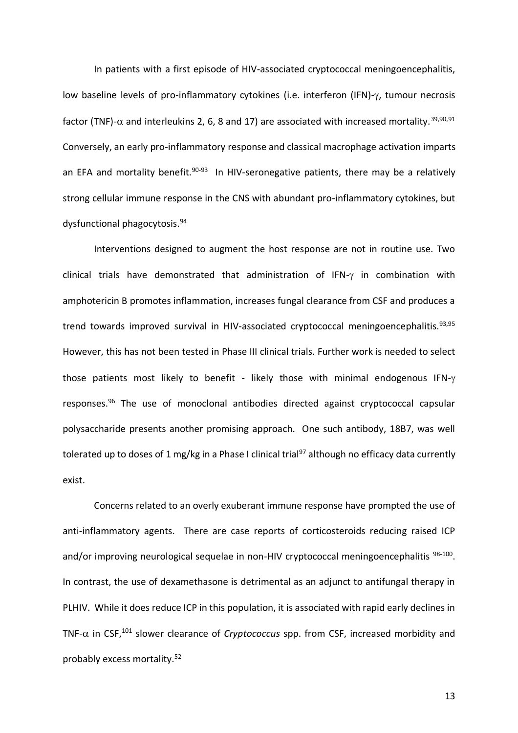In patients with a first episode of HIV-associated cryptococcal meningoencephalitis, low baseline levels of pro-inflammatory cytokines (i.e. interferon (IFN)- $\gamma$ , tumour necrosis factor (TNF)- $\alpha$  and interleukins 2, 6, 8 and 17) are associated with increased mortality.<sup>39,90,91</sup> Conversely, an early pro-inflammatory response and classical macrophage activation imparts an EFA and mortality benefit.<sup>90-93</sup> In HIV-seronegative patients, there may be a relatively strong cellular immune response in the CNS with abundant pro-inflammatory cytokines, but dysfunctional phagocytosis.<sup>94</sup>

Interventions designed to augment the host response are not in routine use. Two clinical trials have demonstrated that administration of IFN- $\gamma$  in combination with amphotericin B promotes inflammation, increases fungal clearance from CSF and produces a trend towards improved survival in HIV-associated cryptococcal meningoencephalitis.<sup>93,95</sup> However, this has not been tested in Phase III clinical trials. Further work is needed to select those patients most likely to benefit - likely those with minimal endogenous IFN- $\gamma$ responses.<sup>96</sup> The use of monoclonal antibodies directed against cryptococcal capsular polysaccharide presents another promising approach. One such antibody, 18B7, was well tolerated up to doses of 1 mg/kg in a Phase I clinical trial<sup>97</sup> although no efficacy data currently exist.

Concerns related to an overly exuberant immune response have prompted the use of anti-inflammatory agents. There are case reports of corticosteroids reducing raised ICP and/or improving neurological sequelae in non-HIV cryptococcal meningoencephalitis <sup>98-100</sup>. In contrast, the use of dexamethasone is detrimental as an adjunct to antifungal therapy in PLHIV. While it does reduce ICP in this population, it is associated with rapid early declines in TNF- $\alpha$  in CSF,<sup>101</sup> slower clearance of *Cryptococcus* spp. from CSF, increased morbidity and probably excess mortality.52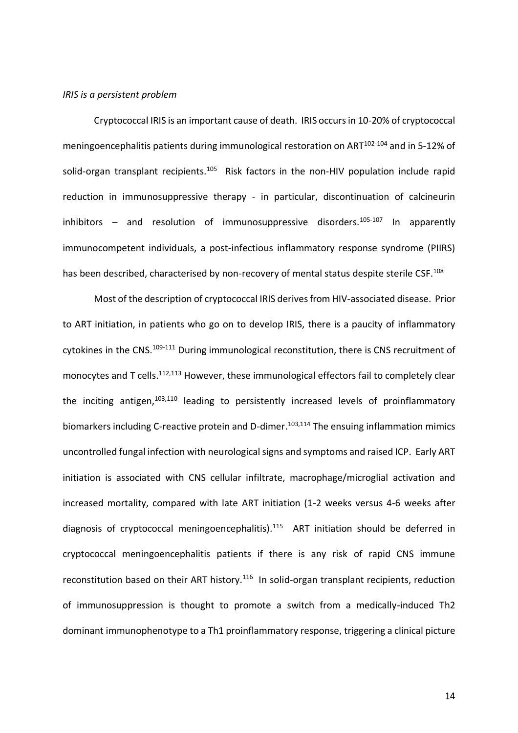#### *IRIS is a persistent problem*

Cryptococcal IRIS is an important cause of death. IRIS occurs in 10-20% of cryptococcal meningoencephalitis patients during immunological restoration on ART<sup>102-104</sup> and in 5-12% of solid-organ transplant recipients.<sup>105</sup> Risk factors in the non-HIV population include rapid reduction in immunosuppressive therapy - in particular, discontinuation of calcineurin inhibitors – and resolution of immunosuppressive disorders.<sup>105-107</sup> In apparently immunocompetent individuals, a post-infectious inflammatory response syndrome (PIIRS) has been described, characterised by non-recovery of mental status despite sterile CSF.<sup>108</sup>

Most of the description of cryptococcal IRIS derives from HIV-associated disease. Prior to ART initiation, in patients who go on to develop IRIS, there is a paucity of inflammatory cytokines in the CNS.<sup>109-111</sup> During immunological reconstitution, there is CNS recruitment of monocytes and T cells.<sup>112,113</sup> However, these immunological effectors fail to completely clear the inciting antigen, $103,110$  leading to persistently increased levels of proinflammatory biomarkers including C-reactive protein and D-dimer.<sup>103,114</sup> The ensuing inflammation mimics uncontrolled fungal infection with neurological signs and symptoms and raised ICP. Early ART initiation is associated with CNS cellular infiltrate, macrophage/microglial activation and increased mortality, compared with late ART initiation (1-2 weeks versus 4-6 weeks after diagnosis of cryptococcal meningoencephalitis).<sup>115</sup> ART initiation should be deferred in cryptococcal meningoencephalitis patients if there is any risk of rapid CNS immune reconstitution based on their ART history.<sup>116</sup> In solid-organ transplant recipients, reduction of immunosuppression is thought to promote a switch from a medically-induced Th2 dominant immunophenotype to a Th1 proinflammatory response, triggering a clinical picture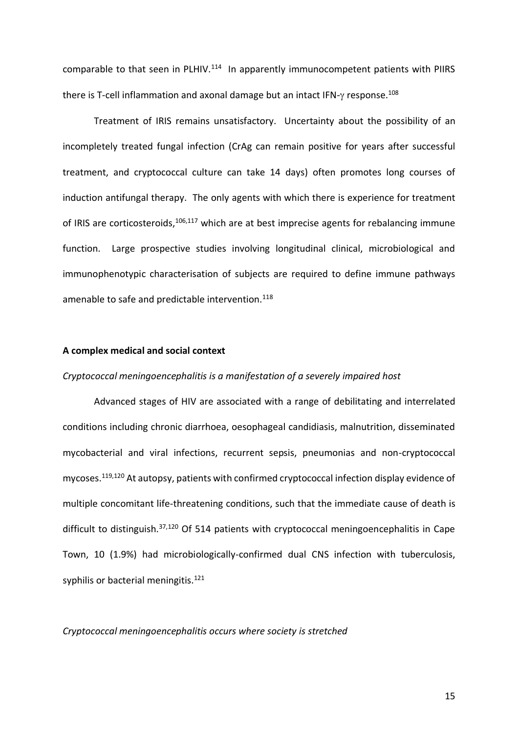$comparable to that seen in PLHIV.<sup>114</sup>$  In apparently immunocompetent patients with PIIRS there is T-cell inflammation and axonal damage but an intact IFN- $\gamma$  response.<sup>108</sup>

Treatment of IRIS remains unsatisfactory. Uncertainty about the possibility of an incompletely treated fungal infection (CrAg can remain positive for years after successful treatment, and cryptococcal culture can take 14 days) often promotes long courses of induction antifungal therapy. The only agents with which there is experience for treatment of IRIS are corticosteroids,<sup>106,117</sup> which are at best imprecise agents for rebalancing immune function. Large prospective studies involving longitudinal clinical, microbiological and immunophenotypic characterisation of subjects are required to define immune pathways amenable to safe and predictable intervention.<sup>118</sup>

#### **A complex medical and social context**

#### *Cryptococcal meningoencephalitis is a manifestation of a severely impaired host*

Advanced stages of HIV are associated with a range of debilitating and interrelated conditions including chronic diarrhoea, oesophageal candidiasis, malnutrition, disseminated mycobacterial and viral infections, recurrent sepsis, pneumonias and non-cryptococcal mycoses.119,120 At autopsy, patients with confirmed cryptococcal infection display evidence of multiple concomitant life-threatening conditions, such that the immediate cause of death is difficult to distinguish.<sup>37,120</sup> Of 514 patients with cryptococcal meningoencephalitis in Cape Town, 10 (1.9%) had microbiologically-confirmed dual CNS infection with tuberculosis, syphilis or bacterial meningitis.<sup>121</sup>

*Cryptococcal meningoencephalitis occurs where society is stretched*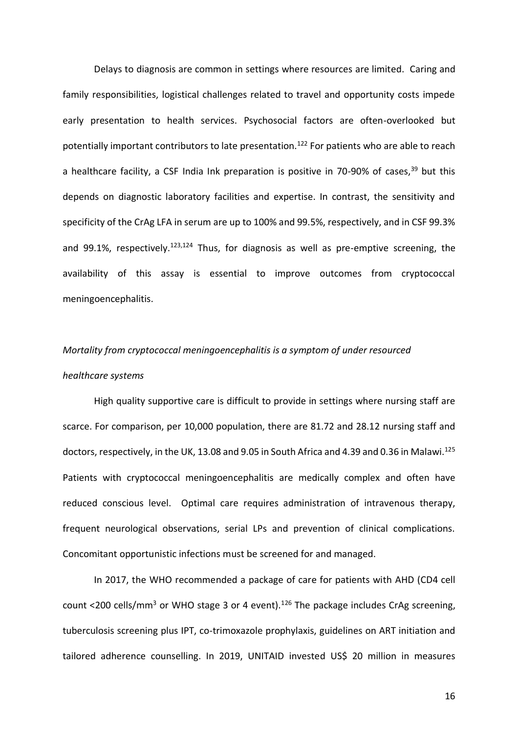Delays to diagnosis are common in settings where resources are limited. Caring and family responsibilities, logistical challenges related to travel and opportunity costs impede early presentation to health services. Psychosocial factors are often-overlooked but potentially important contributors to late presentation.<sup>122</sup> For patients who are able to reach a healthcare facility, a CSF India Ink preparation is positive in 70-90% of cases,  $39$  but this depends on diagnostic laboratory facilities and expertise. In contrast, the sensitivity and specificity of the CrAg LFA in serum are up to 100% and 99.5%, respectively, and in CSF 99.3% and 99.1%, respectively.<sup>123,124</sup> Thus, for diagnosis as well as pre-emptive screening, the availability of this assay is essential to improve outcomes from cryptococcal meningoencephalitis.

# *Mortality from cryptococcal meningoencephalitis is a symptom of under resourced healthcare systems*

High quality supportive care is difficult to provide in settings where nursing staff are scarce. For comparison, per 10,000 population, there are 81.72 and 28.12 nursing staff and doctors, respectively, in the UK, 13.08 and 9.05 in South Africa and 4.39 and 0.36 in Malawi.<sup>125</sup> Patients with cryptococcal meningoencephalitis are medically complex and often have reduced conscious level. Optimal care requires administration of intravenous therapy, frequent neurological observations, serial LPs and prevention of clinical complications. Concomitant opportunistic infections must be screened for and managed.

In 2017, the WHO recommended a package of care for patients with AHD (CD4 cell count <200 cells/mm<sup>3</sup> or WHO stage 3 or 4 event).<sup>126</sup> The package includes CrAg screening, tuberculosis screening plus IPT, co-trimoxazole prophylaxis, guidelines on ART initiation and tailored adherence counselling. In 2019, UNITAID invested US\$ 20 million in measures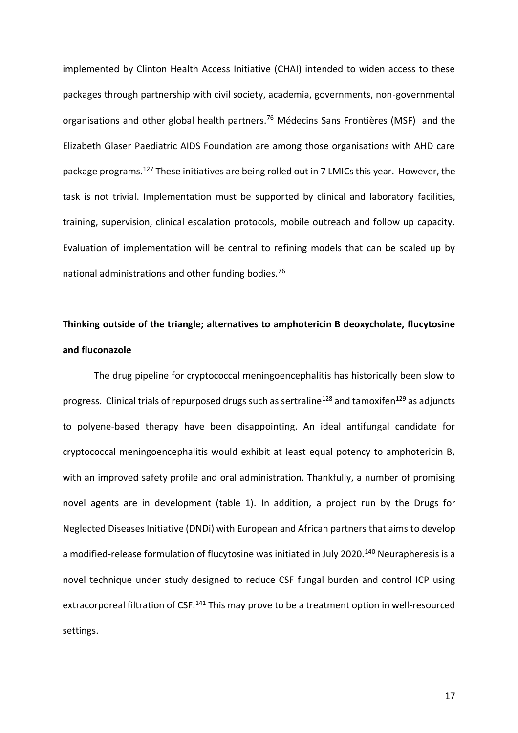implemented by Clinton Health Access Initiative (CHAI) intended to widen access to these packages through partnership with civil society, academia, governments, non-governmental organisations and other global health partners.<sup>76</sup> Médecins Sans Frontières (MSF) and the Elizabeth Glaser Paediatric AIDS Foundation are among those organisations with AHD care package programs.<sup>127</sup> These initiatives are being rolled out in 7 LMICs this year. However, the task is not trivial. Implementation must be supported by clinical and laboratory facilities, training, supervision, clinical escalation protocols, mobile outreach and follow up capacity. Evaluation of implementation will be central to refining models that can be scaled up by national administrations and other funding bodies.<sup>76</sup>

# **Thinking outside of the triangle; alternatives to amphotericin B deoxycholate, flucytosine and fluconazole**

The drug pipeline for cryptococcal meningoencephalitis has historically been slow to progress. Clinical trials of repurposed drugs such as sertraline<sup>128</sup> and tamoxifen<sup>129</sup> as adjuncts to polyene-based therapy have been disappointing. An ideal antifungal candidate for cryptococcal meningoencephalitis would exhibit at least equal potency to amphotericin B, with an improved safety profile and oral administration. Thankfully, a number of promising novel agents are in development (table 1). In addition, a project run by the Drugs for Neglected Diseases Initiative (DNDi) with European and African partners that aims to develop a modified-release formulation of flucytosine was initiated in July 2020.<sup>140</sup> Neurapheresis is a novel technique under study designed to reduce CSF fungal burden and control ICP using extracorporeal filtration of CSF.<sup>141</sup> This may prove to be a treatment option in well-resourced settings.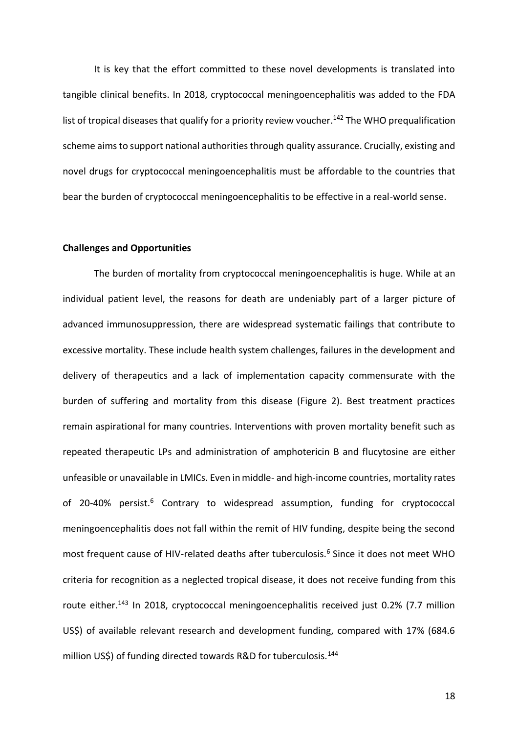It is key that the effort committed to these novel developments is translated into tangible clinical benefits. In 2018, cryptococcal meningoencephalitis was added to the FDA list of tropical diseases that qualify for a priority review voucher.<sup>142</sup> The WHO prequalification scheme aims to support national authorities through quality assurance. Crucially, existing and novel drugs for cryptococcal meningoencephalitis must be affordable to the countries that bear the burden of cryptococcal meningoencephalitis to be effective in a real-world sense.

#### **Challenges and Opportunities**

The burden of mortality from cryptococcal meningoencephalitis is huge. While at an individual patient level, the reasons for death are undeniably part of a larger picture of advanced immunosuppression, there are widespread systematic failings that contribute to excessive mortality. These include health system challenges, failures in the development and delivery of therapeutics and a lack of implementation capacity commensurate with the burden of suffering and mortality from this disease (Figure 2). Best treatment practices remain aspirational for many countries. Interventions with proven mortality benefit such as repeated therapeutic LPs and administration of amphotericin B and flucytosine are either unfeasible or unavailable in LMICs. Even in middle- and high-income countries, mortality rates of 20-40% persist.<sup>6</sup> Contrary to widespread assumption, funding for cryptococcal meningoencephalitis does not fall within the remit of HIV funding, despite being the second most frequent cause of HIV-related deaths after tuberculosis.<sup>6</sup> Since it does not meet WHO criteria for recognition as a neglected tropical disease, it does not receive funding from this route either.<sup>143</sup> In 2018, cryptococcal meningoencephalitis received just 0.2% (7.7 million US\$) of available relevant research and development funding, compared with 17% (684.6 million US\$) of funding directed towards R&D for tuberculosis.<sup>144</sup>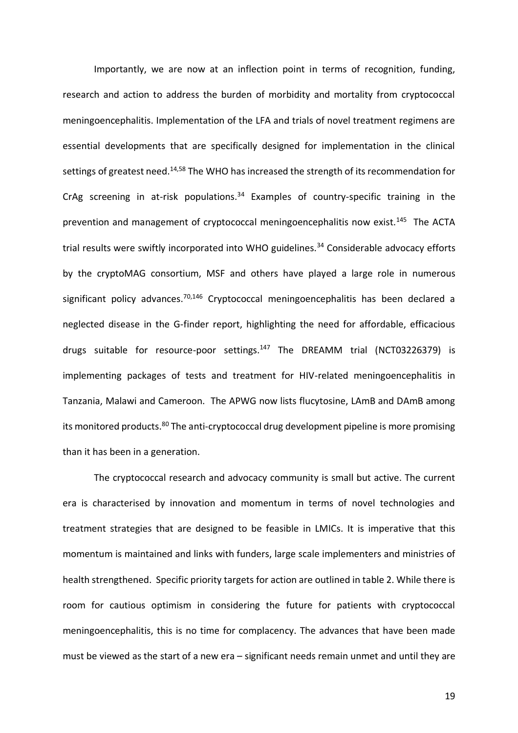Importantly, we are now at an inflection point in terms of recognition, funding, research and action to address the burden of morbidity and mortality from cryptococcal meningoencephalitis. Implementation of the LFA and trials of novel treatment regimens are essential developments that are specifically designed for implementation in the clinical settings of greatest need.<sup>14,58</sup> The WHO has increased the strength of its recommendation for CrAg screening in at-risk populations.<sup>34</sup> Examples of country-specific training in the prevention and management of cryptococcal meningoencephalitis now exist.<sup>145</sup> The ACTA trial results were swiftly incorporated into WHO guidelines.<sup>34</sup> Considerable advocacy efforts by the cryptoMAG consortium, MSF and others have played a large role in numerous significant policy advances.<sup>70,146</sup> Cryptococcal meningoencephalitis has been declared a neglected disease in the G-finder report, highlighting the need for affordable, efficacious drugs suitable for resource-poor settings.<sup>147</sup> The DREAMM trial (NCT03226379) is implementing packages of tests and treatment for HIV-related meningoencephalitis in Tanzania, Malawi and Cameroon. The APWG now lists flucytosine, LAmB and DAmB among its monitored products.<sup>80</sup> The anti-cryptococcal drug development pipeline is more promising than it has been in a generation.

The cryptococcal research and advocacy community is small but active. The current era is characterised by innovation and momentum in terms of novel technologies and treatment strategies that are designed to be feasible in LMICs. It is imperative that this momentum is maintained and links with funders, large scale implementers and ministries of health strengthened. Specific priority targets for action are outlined in table 2. While there is room for cautious optimism in considering the future for patients with cryptococcal meningoencephalitis, this is no time for complacency. The advances that have been made must be viewed as the start of a new era – significant needs remain unmet and until they are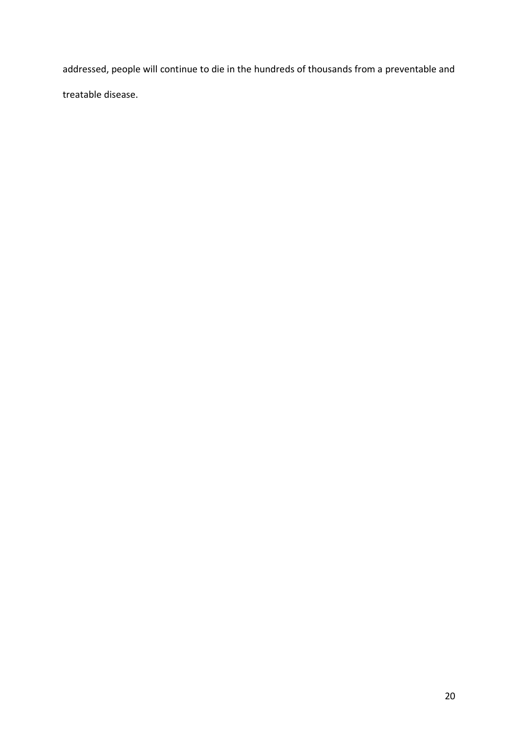addressed, people will continue to die in the hundreds of thousands from a preventable and treatable disease.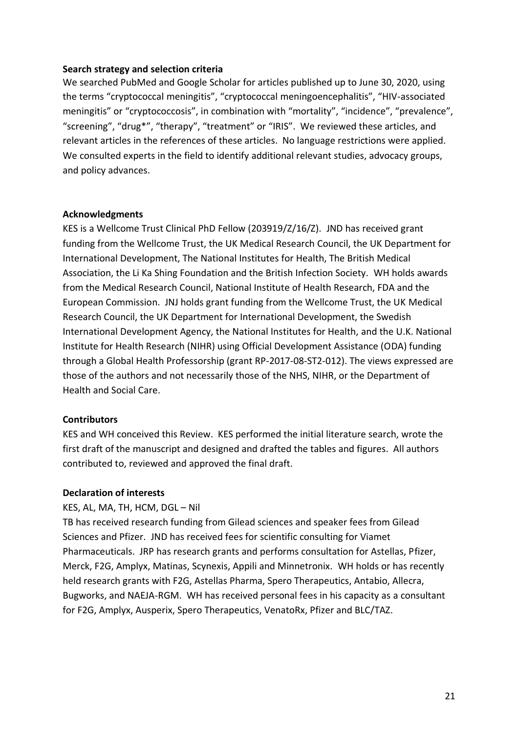#### **Search strategy and selection criteria**

We searched PubMed and Google Scholar for articles published up to June 30, 2020, using the terms "cryptococcal meningitis", "cryptococcal meningoencephalitis", "HIV-associated meningitis" or "cryptococcosis", in combination with "mortality", "incidence", "prevalence", "screening", "drug\*", "therapy", "treatment" or "IRIS". We reviewed these articles, and relevant articles in the references of these articles. No language restrictions were applied. We consulted experts in the field to identify additional relevant studies, advocacy groups, and policy advances.

# **Acknowledgments**

KES is a Wellcome Trust Clinical PhD Fellow (203919/Z/16/Z). JND has received grant funding from the Wellcome Trust, the UK Medical Research Council, the UK Department for International Development, The National Institutes for Health, The British Medical Association, the Li Ka Shing Foundation and the British Infection Society. WH holds awards from the Medical Research Council, National Institute of Health Research, FDA and the European Commission. JNJ holds grant funding from the Wellcome Trust, the UK Medical Research Council, the UK Department for International Development, the Swedish International Development Agency, the National Institutes for Health, and the U.K. National Institute for Health Research (NIHR) using Official Development Assistance (ODA) funding through a Global Health Professorship (grant RP-2017-08-ST2-012). The views expressed are those of the authors and not necessarily those of the NHS, NIHR, or the Department of Health and Social Care.

# **Contributors**

KES and WH conceived this Review. KES performed the initial literature search, wrote the first draft of the manuscript and designed and drafted the tables and figures. All authors contributed to, reviewed and approved the final draft.

#### **Declaration of interests**

# KES, AL, MA, TH, HCM, DGL – Nil

TB has received research funding from Gilead sciences and speaker fees from Gilead Sciences and Pfizer. JND has received fees for scientific consulting for Viamet Pharmaceuticals. JRP has research grants and performs consultation for Astellas, Pfizer, Merck, F2G, Amplyx, Matinas, Scynexis, Appili and Minnetronix. WH holds or has recently held research grants with F2G, Astellas Pharma, Spero Therapeutics, Antabio, Allecra, Bugworks, and NAEJA-RGM. WH has received personal fees in his capacity as a consultant for F2G, Amplyx, Ausperix, Spero Therapeutics, VenatoRx, Pfizer and BLC/TAZ.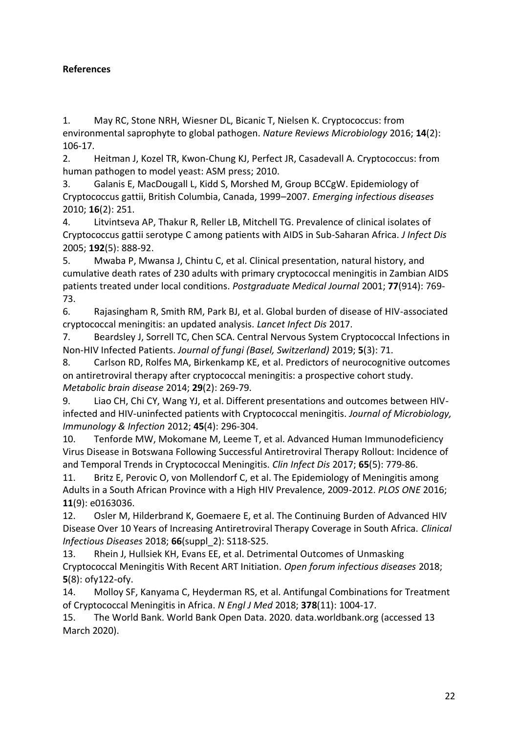# **References**

1. May RC, Stone NRH, Wiesner DL, Bicanic T, Nielsen K. Cryptococcus: from environmental saprophyte to global pathogen. *Nature Reviews Microbiology* 2016; **14**(2): 106-17.

2. Heitman J, Kozel TR, Kwon-Chung KJ, Perfect JR, Casadevall A. Cryptococcus: from human pathogen to model yeast: ASM press; 2010.

3. Galanis E, MacDougall L, Kidd S, Morshed M, Group BCCgW. Epidemiology of Cryptococcus gattii, British Columbia, Canada, 1999–2007. *Emerging infectious diseases* 2010; **16**(2): 251.

4. Litvintseva AP, Thakur R, Reller LB, Mitchell TG. Prevalence of clinical isolates of Cryptococcus gattii serotype C among patients with AIDS in Sub-Saharan Africa. *J Infect Dis* 2005; **192**(5): 888-92.

5. Mwaba P, Mwansa J, Chintu C, et al. Clinical presentation, natural history, and cumulative death rates of 230 adults with primary cryptococcal meningitis in Zambian AIDS patients treated under local conditions. *Postgraduate Medical Journal* 2001; **77**(914): 769- 73.

6. Rajasingham R, Smith RM, Park BJ, et al. Global burden of disease of HIV-associated cryptococcal meningitis: an updated analysis. *Lancet Infect Dis* 2017.

7. Beardsley J, Sorrell TC, Chen SCA. Central Nervous System Cryptococcal Infections in Non-HIV Infected Patients. *Journal of fungi (Basel, Switzerland)* 2019; **5**(3): 71.

8. Carlson RD, Rolfes MA, Birkenkamp KE, et al. Predictors of neurocognitive outcomes on antiretroviral therapy after cryptococcal meningitis: a prospective cohort study. *Metabolic brain disease* 2014; **29**(2): 269-79.

9. Liao CH, Chi CY, Wang YJ, et al. Different presentations and outcomes between HIVinfected and HIV-uninfected patients with Cryptococcal meningitis. *Journal of Microbiology, Immunology & Infection* 2012; **45**(4): 296-304.

10. Tenforde MW, Mokomane M, Leeme T, et al. Advanced Human Immunodeficiency Virus Disease in Botswana Following Successful Antiretroviral Therapy Rollout: Incidence of and Temporal Trends in Cryptococcal Meningitis. *Clin Infect Dis* 2017; **65**(5): 779-86.

11. Britz E, Perovic O, von Mollendorf C, et al. The Epidemiology of Meningitis among Adults in a South African Province with a High HIV Prevalence, 2009-2012. *PLOS ONE* 2016; **11**(9): e0163036.

12. Osler M, Hilderbrand K, Goemaere E, et al. The Continuing Burden of Advanced HIV Disease Over 10 Years of Increasing Antiretroviral Therapy Coverage in South Africa. *Clinical Infectious Diseases* 2018; **66**(suppl\_2): S118-S25.

13. Rhein J, Hullsiek KH, Evans EE, et al. Detrimental Outcomes of Unmasking Cryptococcal Meningitis With Recent ART Initiation. *Open forum infectious diseases* 2018; **5**(8): ofy122-ofy.

14. Molloy SF, Kanyama C, Heyderman RS, et al. Antifungal Combinations for Treatment of Cryptococcal Meningitis in Africa. *N Engl J Med* 2018; **378**(11): 1004-17.

15. The World Bank. World Bank Open Data. 2020. data.worldbank.org (accessed 13 March 2020).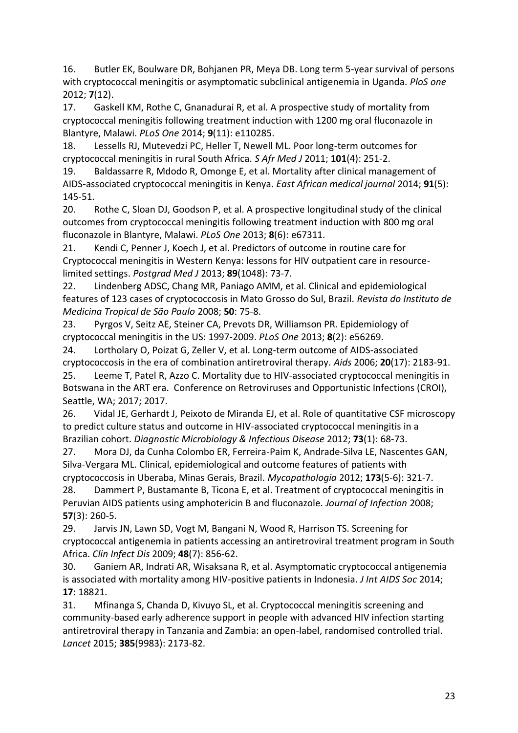16. Butler EK, Boulware DR, Bohjanen PR, Meya DB. Long term 5-year survival of persons with cryptococcal meningitis or asymptomatic subclinical antigenemia in Uganda. *PloS one* 2012; **7**(12).

17. Gaskell KM, Rothe C, Gnanadurai R, et al. A prospective study of mortality from cryptococcal meningitis following treatment induction with 1200 mg oral fluconazole in Blantyre, Malawi. *PLoS One* 2014; **9**(11): e110285.

18. Lessells RJ, Mutevedzi PC, Heller T, Newell ML. Poor long-term outcomes for cryptococcal meningitis in rural South Africa. *S Afr Med J* 2011; **101**(4): 251-2.

19. Baldassarre R, Mdodo R, Omonge E, et al. Mortality after clinical management of AIDS-associated cryptococcal meningitis in Kenya. *East African medical journal* 2014; **91**(5): 145-51.

20. Rothe C, Sloan DJ, Goodson P, et al. A prospective longitudinal study of the clinical outcomes from cryptococcal meningitis following treatment induction with 800 mg oral fluconazole in Blantyre, Malawi. *PLoS One* 2013; **8**(6): e67311.

21. Kendi C, Penner J, Koech J, et al. Predictors of outcome in routine care for Cryptococcal meningitis in Western Kenya: lessons for HIV outpatient care in resourcelimited settings. *Postgrad Med J* 2013; **89**(1048): 73-7.

22. Lindenberg ADSC, Chang MR, Paniago AMM, et al. Clinical and epidemiological features of 123 cases of cryptococcosis in Mato Grosso do Sul, Brazil. *Revista do Instituto de Medicina Tropical de São Paulo* 2008; **50**: 75-8.

23. Pyrgos V, Seitz AE, Steiner CA, Prevots DR, Williamson PR. Epidemiology of cryptococcal meningitis in the US: 1997-2009. *PLoS One* 2013; **8**(2): e56269.

24. Lortholary O, Poizat G, Zeller V, et al. Long-term outcome of AIDS-associated cryptococcosis in the era of combination antiretroviral therapy. *Aids* 2006; **20**(17): 2183-91. 25. Leeme T, Patel R, Azzo C. Mortality due to HIV-associated cryptococcal meningitis in

Botswana in the ART era. Conference on Retroviruses and Opportunistic Infections (CROI), Seattle, WA; 2017; 2017.

26. Vidal JE, Gerhardt J, Peixoto de Miranda EJ, et al. Role of quantitative CSF microscopy to predict culture status and outcome in HIV-associated cryptococcal meningitis in a Brazilian cohort. *Diagnostic Microbiology & Infectious Disease* 2012; **73**(1): 68-73.

27. Mora DJ, da Cunha Colombo ER, Ferreira-Paim K, Andrade-Silva LE, Nascentes GAN, Silva-Vergara ML. Clinical, epidemiological and outcome features of patients with cryptococcosis in Uberaba, Minas Gerais, Brazil. *Mycopathologia* 2012; **173**(5-6): 321-7.

28. Dammert P, Bustamante B, Ticona E, et al. Treatment of cryptococcal meningitis in Peruvian AIDS patients using amphotericin B and fluconazole. *Journal of Infection* 2008; **57**(3): 260-5.

29. Jarvis JN, Lawn SD, Vogt M, Bangani N, Wood R, Harrison TS. Screening for cryptococcal antigenemia in patients accessing an antiretroviral treatment program in South Africa. *Clin Infect Dis* 2009; **48**(7): 856-62.

30. Ganiem AR, Indrati AR, Wisaksana R, et al. Asymptomatic cryptococcal antigenemia is associated with mortality among HIV-positive patients in Indonesia. *J Int AIDS Soc* 2014; **17**: 18821.

31. Mfinanga S, Chanda D, Kivuyo SL, et al. Cryptococcal meningitis screening and community-based early adherence support in people with advanced HIV infection starting antiretroviral therapy in Tanzania and Zambia: an open-label, randomised controlled trial. *Lancet* 2015; **385**(9983): 2173-82.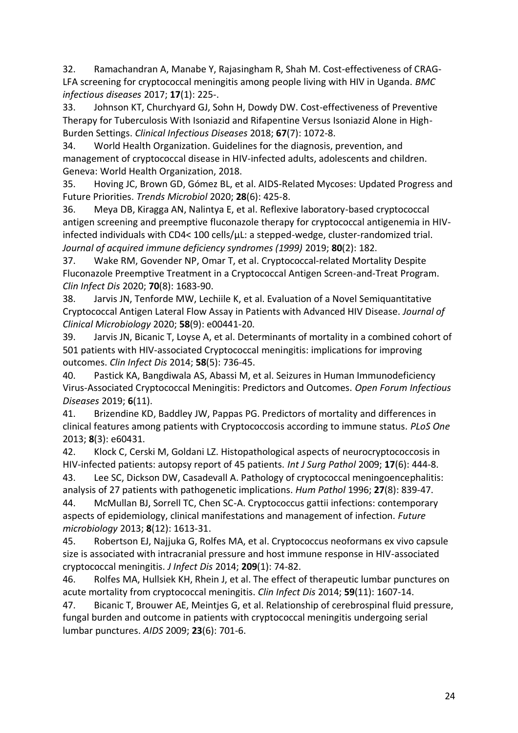32. Ramachandran A, Manabe Y, Rajasingham R, Shah M. Cost-effectiveness of CRAG-LFA screening for cryptococcal meningitis among people living with HIV in Uganda. *BMC infectious diseases* 2017; **17**(1): 225-.

33. Johnson KT, Churchyard GJ, Sohn H, Dowdy DW. Cost-effectiveness of Preventive Therapy for Tuberculosis With Isoniazid and Rifapentine Versus Isoniazid Alone in High-Burden Settings. *Clinical Infectious Diseases* 2018; **67**(7): 1072-8.

34. World Health Organization. Guidelines for the diagnosis, prevention, and management of cryptococcal disease in HIV-infected adults, adolescents and children. Geneva: World Health Organization, 2018.

35. Hoving JC, Brown GD, Gómez BL, et al. AIDS-Related Mycoses: Updated Progress and Future Priorities. *Trends Microbiol* 2020; **28**(6): 425-8.

36. Meya DB, Kiragga AN, Nalintya E, et al. Reflexive laboratory-based cryptococcal antigen screening and preemptive fluconazole therapy for cryptococcal antigenemia in HIVinfected individuals with CD4< 100 cells/µL: a stepped-wedge, cluster-randomized trial. *Journal of acquired immune deficiency syndromes (1999)* 2019; **80**(2): 182.

37. Wake RM, Govender NP, Omar T, et al. Cryptococcal-related Mortality Despite Fluconazole Preemptive Treatment in a Cryptococcal Antigen Screen-and-Treat Program. *Clin Infect Dis* 2020; **70**(8): 1683-90.

38. Jarvis JN, Tenforde MW, Lechiile K, et al. Evaluation of a Novel Semiquantitative Cryptococcal Antigen Lateral Flow Assay in Patients with Advanced HIV Disease. *Journal of Clinical Microbiology* 2020; **58**(9): e00441-20.

39. Jarvis JN, Bicanic T, Loyse A, et al. Determinants of mortality in a combined cohort of 501 patients with HIV-associated Cryptococcal meningitis: implications for improving outcomes. *Clin Infect Dis* 2014; **58**(5): 736-45.

40. Pastick KA, Bangdiwala AS, Abassi M, et al. Seizures in Human Immunodeficiency Virus-Associated Cryptococcal Meningitis: Predictors and Outcomes. *Open Forum Infectious Diseases* 2019; **6**(11).

41. Brizendine KD, Baddley JW, Pappas PG. Predictors of mortality and differences in clinical features among patients with Cryptococcosis according to immune status. *PLoS One* 2013; **8**(3): e60431.

42. Klock C, Cerski M, Goldani LZ. Histopathological aspects of neurocryptococcosis in HIV-infected patients: autopsy report of 45 patients. *Int J Surg Pathol* 2009; **17**(6): 444-8.

43. Lee SC, Dickson DW, Casadevall A. Pathology of cryptococcal meningoencephalitis: analysis of 27 patients with pathogenetic implications. *Hum Pathol* 1996; **27**(8): 839-47.

44. McMullan BJ, Sorrell TC, Chen SC-A. Cryptococcus gattii infections: contemporary aspects of epidemiology, clinical manifestations and management of infection. *Future microbiology* 2013; **8**(12): 1613-31.

45. Robertson EJ, Najjuka G, Rolfes MA, et al. Cryptococcus neoformans ex vivo capsule size is associated with intracranial pressure and host immune response in HIV-associated cryptococcal meningitis. *J Infect Dis* 2014; **209**(1): 74-82.

46. Rolfes MA, Hullsiek KH, Rhein J, et al. The effect of therapeutic lumbar punctures on acute mortality from cryptococcal meningitis. *Clin Infect Dis* 2014; **59**(11): 1607-14.

47. Bicanic T, Brouwer AE, Meintjes G, et al. Relationship of cerebrospinal fluid pressure, fungal burden and outcome in patients with cryptococcal meningitis undergoing serial lumbar punctures. *AIDS* 2009; **23**(6): 701-6.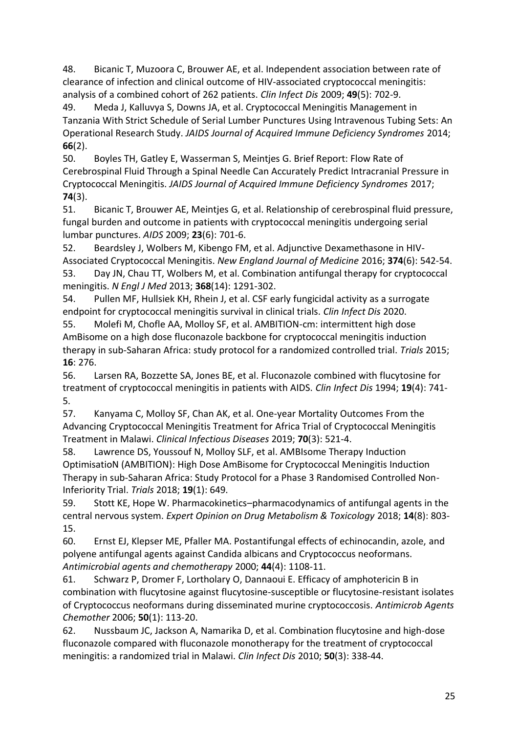48. Bicanic T, Muzoora C, Brouwer AE, et al. Independent association between rate of clearance of infection and clinical outcome of HIV-associated cryptococcal meningitis: analysis of a combined cohort of 262 patients. *Clin Infect Dis* 2009; **49**(5): 702-9.

49. Meda J, Kalluvya S, Downs JA, et al. Cryptococcal Meningitis Management in Tanzania With Strict Schedule of Serial Lumber Punctures Using Intravenous Tubing Sets: An Operational Research Study. *JAIDS Journal of Acquired Immune Deficiency Syndromes* 2014; **66**(2).

50. Boyles TH, Gatley E, Wasserman S, Meintjes G. Brief Report: Flow Rate of Cerebrospinal Fluid Through a Spinal Needle Can Accurately Predict Intracranial Pressure in Cryptococcal Meningitis. *JAIDS Journal of Acquired Immune Deficiency Syndromes* 2017; **74**(3).

51. Bicanic T, Brouwer AE, Meintjes G, et al. Relationship of cerebrospinal fluid pressure, fungal burden and outcome in patients with cryptococcal meningitis undergoing serial lumbar punctures. *AIDS* 2009; **23**(6): 701-6.

52. Beardsley J, Wolbers M, Kibengo FM, et al. Adjunctive Dexamethasone in HIV-Associated Cryptococcal Meningitis. *New England Journal of Medicine* 2016; **374**(6): 542-54. 53. Day JN, Chau TT, Wolbers M, et al. Combination antifungal therapy for cryptococcal meningitis. *N Engl J Med* 2013; **368**(14): 1291-302.

54. Pullen MF, Hullsiek KH, Rhein J, et al. CSF early fungicidal activity as a surrogate endpoint for cryptococcal meningitis survival in clinical trials. *Clin Infect Dis* 2020.

55. Molefi M, Chofle AA, Molloy SF, et al. AMBITION-cm: intermittent high dose AmBisome on a high dose fluconazole backbone for cryptococcal meningitis induction therapy in sub-Saharan Africa: study protocol for a randomized controlled trial. *Trials* 2015; **16**: 276.

56. Larsen RA, Bozzette SA, Jones BE, et al. Fluconazole combined with flucytosine for treatment of cryptococcal meningitis in patients with AIDS. *Clin Infect Dis* 1994; **19**(4): 741- 5.

57. Kanyama C, Molloy SF, Chan AK, et al. One-year Mortality Outcomes From the Advancing Cryptococcal Meningitis Treatment for Africa Trial of Cryptococcal Meningitis Treatment in Malawi. *Clinical Infectious Diseases* 2019; **70**(3): 521-4.

58. Lawrence DS, Youssouf N, Molloy SLF, et al. AMBIsome Therapy Induction OptimisatioN (AMBITION): High Dose AmBisome for Cryptococcal Meningitis Induction Therapy in sub-Saharan Africa: Study Protocol for a Phase 3 Randomised Controlled Non-Inferiority Trial. *Trials* 2018; **19**(1): 649.

59. Stott KE, Hope W. Pharmacokinetics–pharmacodynamics of antifungal agents in the central nervous system. *Expert Opinion on Drug Metabolism & Toxicology* 2018; **14**(8): 803- 15.

60. Ernst EJ, Klepser ME, Pfaller MA. Postantifungal effects of echinocandin, azole, and polyene antifungal agents against Candida albicans and Cryptococcus neoformans. *Antimicrobial agents and chemotherapy* 2000; **44**(4): 1108-11.

61. Schwarz P, Dromer F, Lortholary O, Dannaoui E. Efficacy of amphotericin B in combination with flucytosine against flucytosine-susceptible or flucytosine-resistant isolates of Cryptococcus neoformans during disseminated murine cryptococcosis. *Antimicrob Agents Chemother* 2006; **50**(1): 113-20.

62. Nussbaum JC, Jackson A, Namarika D, et al. Combination flucytosine and high-dose fluconazole compared with fluconazole monotherapy for the treatment of cryptococcal meningitis: a randomized trial in Malawi. *Clin Infect Dis* 2010; **50**(3): 338-44.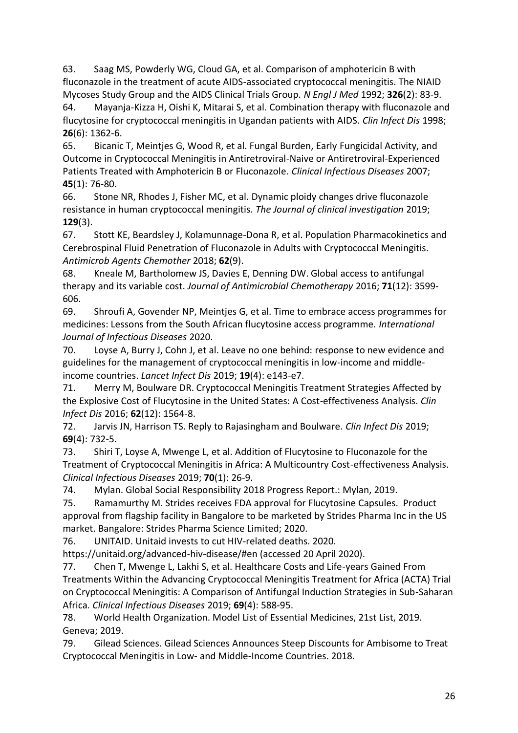63. Saag MS, Powderly WG, Cloud GA, et al. Comparison of amphotericin B with fluconazole in the treatment of acute AIDS-associated cryptococcal meningitis. The NIAID Mycoses Study Group and the AIDS Clinical Trials Group. *N Engl J Med* 1992; **326**(2): 83-9.

64. Mayanja-Kizza H, Oishi K, Mitarai S, et al. Combination therapy with fluconazole and flucytosine for cryptococcal meningitis in Ugandan patients with AIDS. *Clin Infect Dis* 1998; **26**(6): 1362-6.

65. Bicanic T, Meintjes G, Wood R, et al. Fungal Burden, Early Fungicidal Activity, and Outcome in Cryptococcal Meningitis in Antiretroviral-Naive or Antiretroviral-Experienced Patients Treated with Amphotericin B or Fluconazole. *Clinical Infectious Diseases* 2007; **45**(1): 76-80.

66. Stone NR, Rhodes J, Fisher MC, et al. Dynamic ploidy changes drive fluconazole resistance in human cryptococcal meningitis. *The Journal of clinical investigation* 2019; **129**(3).

67. Stott KE, Beardsley J, Kolamunnage-Dona R, et al. Population Pharmacokinetics and Cerebrospinal Fluid Penetration of Fluconazole in Adults with Cryptococcal Meningitis. *Antimicrob Agents Chemother* 2018; **62**(9).

68. Kneale M, Bartholomew JS, Davies E, Denning DW. Global access to antifungal therapy and its variable cost. *Journal of Antimicrobial Chemotherapy* 2016; **71**(12): 3599- 606.

69. Shroufi A, Govender NP, Meintjes G, et al. Time to embrace access programmes for medicines: Lessons from the South African flucytosine access programme. *International Journal of Infectious Diseases* 2020.

70. Loyse A, Burry J, Cohn J, et al. Leave no one behind: response to new evidence and guidelines for the management of cryptococcal meningitis in low-income and middleincome countries. *Lancet Infect Dis* 2019; **19**(4): e143-e7.

71. Merry M, Boulware DR. Cryptococcal Meningitis Treatment Strategies Affected by the Explosive Cost of Flucytosine in the United States: A Cost-effectiveness Analysis. *Clin Infect Dis* 2016; **62**(12): 1564-8.

72. Jarvis JN, Harrison TS. Reply to Rajasingham and Boulware. *Clin Infect Dis* 2019; **69**(4): 732-5.

73. Shiri T, Loyse A, Mwenge L, et al. Addition of Flucytosine to Fluconazole for the Treatment of Cryptococcal Meningitis in Africa: A Multicountry Cost-effectiveness Analysis. *Clinical Infectious Diseases* 2019; **70**(1): 26-9.

74. Mylan. Global Social Responsibility 2018 Progress Report.: Mylan, 2019.

75. Ramamurthy M. Strides receives FDA approval for Flucytosine Capsules. Product approval from flagship facility in Bangalore to be marketed by Strides Pharma Inc in the US market. Bangalore: Strides Pharma Science Limited; 2020.

76. UNITAID. Unitaid invests to cut HIV-related deaths. 2020.

https://unitaid.org/advanced-hiv-disease/#en (accessed 20 April 2020).

77. Chen T, Mwenge L, Lakhi S, et al. Healthcare Costs and Life-years Gained From Treatments Within the Advancing Cryptococcal Meningitis Treatment for Africa (ACTA) Trial on Cryptococcal Meningitis: A Comparison of Antifungal Induction Strategies in Sub-Saharan Africa. *Clinical Infectious Diseases* 2019; **69**(4): 588-95.

78. World Health Organization. Model List of Essential Medicines, 21st List, 2019. Geneva; 2019.

79. Gilead Sciences. Gilead Sciences Announces Steep Discounts for Ambisome to Treat Cryptococcal Meningitis in Low- and Middle-Income Countries. 2018.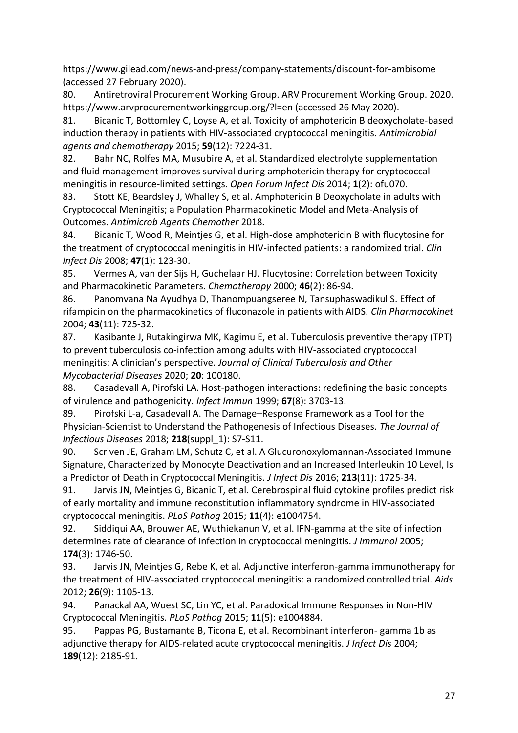https://www.gilead.com/news-and-press/company-statements/discount-for-ambisome (accessed 27 February 2020).

80. Antiretroviral Procurement Working Group. ARV Procurement Working Group. 2020. https://www.arvprocurementworkinggroup.org/?l=en (accessed 26 May 2020).

81. Bicanic T, Bottomley C, Loyse A, et al. Toxicity of amphotericin B deoxycholate-based induction therapy in patients with HIV-associated cryptococcal meningitis. *Antimicrobial agents and chemotherapy* 2015; **59**(12): 7224-31.

82. Bahr NC, Rolfes MA, Musubire A, et al. Standardized electrolyte supplementation and fluid management improves survival during amphotericin therapy for cryptococcal meningitis in resource-limited settings. *Open Forum Infect Dis* 2014; **1**(2): ofu070.

83. Stott KE, Beardsley J, Whalley S, et al. Amphotericin B Deoxycholate in adults with Cryptococcal Meningitis; a Population Pharmacokinetic Model and Meta-Analysis of Outcomes. *Antimicrob Agents Chemother* 2018.

84. Bicanic T, Wood R, Meintjes G, et al. High-dose amphotericin B with flucytosine for the treatment of cryptococcal meningitis in HIV-infected patients: a randomized trial. *Clin Infect Dis* 2008; **47**(1): 123-30.

85. Vermes A, van der Sijs H, Guchelaar HJ. Flucytosine: Correlation between Toxicity and Pharmacokinetic Parameters. *Chemotherapy* 2000; **46**(2): 86-94.

86. Panomvana Na Ayudhya D, Thanompuangseree N, Tansuphaswadikul S. Effect of rifampicin on the pharmacokinetics of fluconazole in patients with AIDS. *Clin Pharmacokinet* 2004; **43**(11): 725-32.

87. Kasibante J, Rutakingirwa MK, Kagimu E, et al. Tuberculosis preventive therapy (TPT) to prevent tuberculosis co-infection among adults with HIV-associated cryptococcal meningitis: A clinician's perspective. *Journal of Clinical Tuberculosis and Other Mycobacterial Diseases* 2020; **20**: 100180.

88. Casadevall A, Pirofski LA. Host-pathogen interactions: redefining the basic concepts of virulence and pathogenicity. *Infect Immun* 1999; **67**(8): 3703-13.

89. Pirofski L-a, Casadevall A. The Damage–Response Framework as a Tool for the Physician-Scientist to Understand the Pathogenesis of Infectious Diseases. *The Journal of Infectious Diseases* 2018; **218**(suppl\_1): S7-S11.

90. Scriven JE, Graham LM, Schutz C, et al. A Glucuronoxylomannan-Associated Immune Signature, Characterized by Monocyte Deactivation and an Increased Interleukin 10 Level, Is a Predictor of Death in Cryptococcal Meningitis. *J Infect Dis* 2016; **213**(11): 1725-34.

91. Jarvis JN, Meintjes G, Bicanic T, et al. Cerebrospinal fluid cytokine profiles predict risk of early mortality and immune reconstitution inflammatory syndrome in HIV-associated cryptococcal meningitis. *PLoS Pathog* 2015; **11**(4): e1004754.

92. Siddiqui AA, Brouwer AE, Wuthiekanun V, et al. IFN-gamma at the site of infection determines rate of clearance of infection in cryptococcal meningitis. *J Immunol* 2005; **174**(3): 1746-50.

93. Jarvis JN, Meintjes G, Rebe K, et al. Adjunctive interferon-gamma immunotherapy for the treatment of HIV-associated cryptococcal meningitis: a randomized controlled trial. *Aids* 2012; **26**(9): 1105-13.

94. Panackal AA, Wuest SC, Lin YC, et al. Paradoxical Immune Responses in Non-HIV Cryptococcal Meningitis. *PLoS Pathog* 2015; **11**(5): e1004884.

95. Pappas PG, Bustamante B, Ticona E, et al. Recombinant interferon- gamma 1b as adjunctive therapy for AIDS-related acute cryptococcal meningitis. *J Infect Dis* 2004; **189**(12): 2185-91.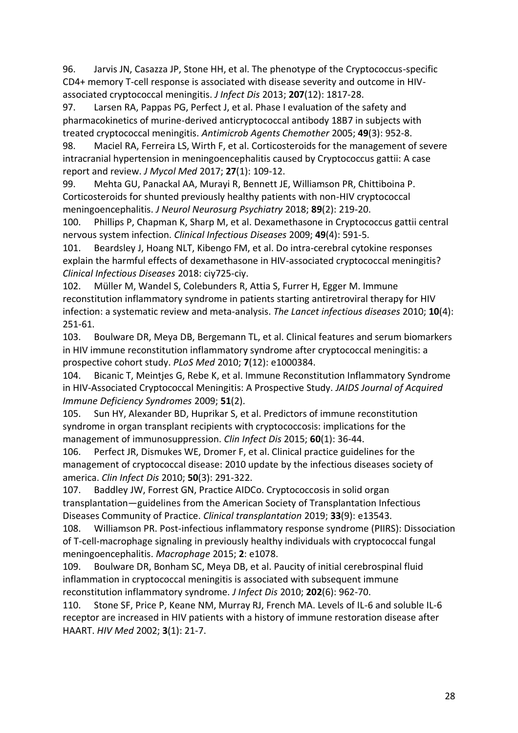96. Jarvis JN, Casazza JP, Stone HH, et al. The phenotype of the Cryptococcus-specific CD4+ memory T-cell response is associated with disease severity and outcome in HIVassociated cryptococcal meningitis. *J Infect Dis* 2013; **207**(12): 1817-28.

97. Larsen RA, Pappas PG, Perfect J, et al. Phase I evaluation of the safety and pharmacokinetics of murine-derived anticryptococcal antibody 18B7 in subjects with treated cryptococcal meningitis. *Antimicrob Agents Chemother* 2005; **49**(3): 952-8.

98. Maciel RA, Ferreira LS, Wirth F, et al. Corticosteroids for the management of severe intracranial hypertension in meningoencephalitis caused by Cryptococcus gattii: A case report and review. *J Mycol Med* 2017; **27**(1): 109-12.

99. Mehta GU, Panackal AA, Murayi R, Bennett JE, Williamson PR, Chittiboina P. Corticosteroids for shunted previously healthy patients with non-HIV cryptococcal meningoencephalitis. *J Neurol Neurosurg Psychiatry* 2018; **89**(2): 219-20.

100. Phillips P, Chapman K, Sharp M, et al. Dexamethasone in Cryptococcus gattii central nervous system infection. *Clinical Infectious Diseases* 2009; **49**(4): 591-5.

101. Beardsley J, Hoang NLT, Kibengo FM, et al. Do intra-cerebral cytokine responses explain the harmful effects of dexamethasone in HIV-associated cryptococcal meningitis? *Clinical Infectious Diseases* 2018: ciy725-ciy.

102. Müller M, Wandel S, Colebunders R, Attia S, Furrer H, Egger M. Immune reconstitution inflammatory syndrome in patients starting antiretroviral therapy for HIV infection: a systematic review and meta-analysis. *The Lancet infectious diseases* 2010; **10**(4): 251-61.

103. Boulware DR, Meya DB, Bergemann TL, et al. Clinical features and serum biomarkers in HIV immune reconstitution inflammatory syndrome after cryptococcal meningitis: a prospective cohort study. *PLoS Med* 2010; **7**(12): e1000384.

104. Bicanic T, Meintjes G, Rebe K, et al. Immune Reconstitution Inflammatory Syndrome in HIV-Associated Cryptococcal Meningitis: A Prospective Study. *JAIDS Journal of Acquired Immune Deficiency Syndromes* 2009; **51**(2).

105. Sun HY, Alexander BD, Huprikar S, et al. Predictors of immune reconstitution syndrome in organ transplant recipients with cryptococcosis: implications for the management of immunosuppression. *Clin Infect Dis* 2015; **60**(1): 36-44.

106. Perfect JR, Dismukes WE, Dromer F, et al. Clinical practice guidelines for the management of cryptococcal disease: 2010 update by the infectious diseases society of america. *Clin Infect Dis* 2010; **50**(3): 291-322.

107. Baddley JW, Forrest GN, Practice AIDCo. Cryptococcosis in solid organ transplantation—guidelines from the American Society of Transplantation Infectious Diseases Community of Practice. *Clinical transplantation* 2019; **33**(9): e13543.

108. Williamson PR. Post-infectious inflammatory response syndrome (PIIRS): Dissociation of T-cell-macrophage signaling in previously healthy individuals with cryptococcal fungal meningoencephalitis. *Macrophage* 2015; **2**: e1078.

109. Boulware DR, Bonham SC, Meya DB, et al. Paucity of initial cerebrospinal fluid inflammation in cryptococcal meningitis is associated with subsequent immune reconstitution inflammatory syndrome. *J Infect Dis* 2010; **202**(6): 962-70.

110. Stone SF, Price P, Keane NM, Murray RJ, French MA. Levels of IL-6 and soluble IL-6 receptor are increased in HIV patients with a history of immune restoration disease after HAART. *HIV Med* 2002; **3**(1): 21-7.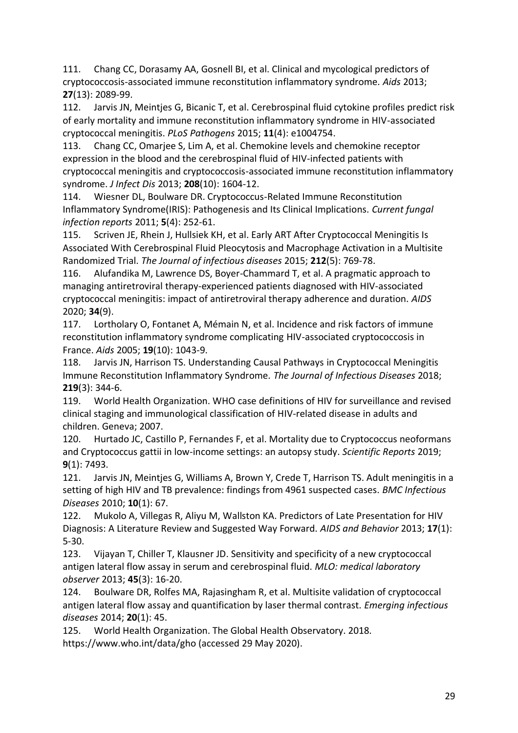111. Chang CC, Dorasamy AA, Gosnell BI, et al. Clinical and mycological predictors of cryptococcosis-associated immune reconstitution inflammatory syndrome. *Aids* 2013; **27**(13): 2089-99.

112. Jarvis JN, Meintjes G, Bicanic T, et al. Cerebrospinal fluid cytokine profiles predict risk of early mortality and immune reconstitution inflammatory syndrome in HIV-associated cryptococcal meningitis. *PLoS Pathogens* 2015; **11**(4): e1004754.

113. Chang CC, Omarjee S, Lim A, et al. Chemokine levels and chemokine receptor expression in the blood and the cerebrospinal fluid of HIV-infected patients with cryptococcal meningitis and cryptococcosis-associated immune reconstitution inflammatory syndrome. *J Infect Dis* 2013; **208**(10): 1604-12.

114. Wiesner DL, Boulware DR. Cryptococcus-Related Immune Reconstitution Inflammatory Syndrome(IRIS): Pathogenesis and Its Clinical Implications. *Current fungal infection reports* 2011; **5**(4): 252-61.

115. Scriven JE, Rhein J, Hullsiek KH, et al. Early ART After Cryptococcal Meningitis Is Associated With Cerebrospinal Fluid Pleocytosis and Macrophage Activation in a Multisite Randomized Trial. *The Journal of infectious diseases* 2015; **212**(5): 769-78.

116. Alufandika M, Lawrence DS, Boyer-Chammard T, et al. A pragmatic approach to managing antiretroviral therapy-experienced patients diagnosed with HIV-associated cryptococcal meningitis: impact of antiretroviral therapy adherence and duration. *AIDS* 2020; **34**(9).

117. Lortholary O, Fontanet A, Mémain N, et al. Incidence and risk factors of immune reconstitution inflammatory syndrome complicating HIV-associated cryptococcosis in France. *Aids* 2005; **19**(10): 1043-9.

118. Jarvis JN, Harrison TS. Understanding Causal Pathways in Cryptococcal Meningitis Immune Reconstitution Inflammatory Syndrome. *The Journal of Infectious Diseases* 2018; **219**(3): 344-6.

119. World Health Organization. WHO case definitions of HIV for surveillance and revised clinical staging and immunological classification of HIV-related disease in adults and children. Geneva; 2007.

120. Hurtado JC, Castillo P, Fernandes F, et al. Mortality due to Cryptococcus neoformans and Cryptococcus gattii in low-income settings: an autopsy study. *Scientific Reports* 2019; **9**(1): 7493.

121. Jarvis JN, Meintjes G, Williams A, Brown Y, Crede T, Harrison TS. Adult meningitis in a setting of high HIV and TB prevalence: findings from 4961 suspected cases. *BMC Infectious Diseases* 2010; **10**(1): 67.

122. Mukolo A, Villegas R, Aliyu M, Wallston KA. Predictors of Late Presentation for HIV Diagnosis: A Literature Review and Suggested Way Forward. *AIDS and Behavior* 2013; **17**(1): 5-30.

123. Vijayan T, Chiller T, Klausner JD. Sensitivity and specificity of a new cryptococcal antigen lateral flow assay in serum and cerebrospinal fluid. *MLO: medical laboratory observer* 2013; **45**(3): 16-20.

124. Boulware DR, Rolfes MA, Rajasingham R, et al. Multisite validation of cryptococcal antigen lateral flow assay and quantification by laser thermal contrast. *Emerging infectious diseases* 2014; **20**(1): 45.

125. World Health Organization. The Global Health Observatory. 2018. https://www.who.int/data/gho (accessed 29 May 2020).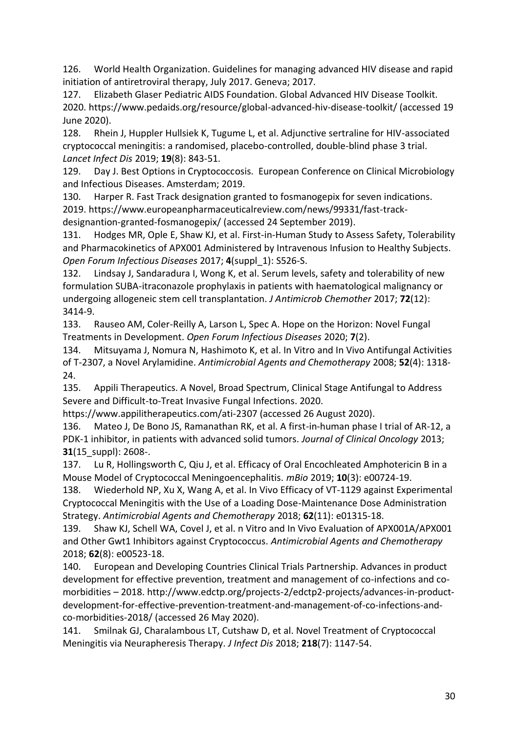126. World Health Organization. Guidelines for managing advanced HIV disease and rapid initiation of antiretroviral therapy, July 2017. Geneva; 2017.

127. Elizabeth Glaser Pediatric AIDS Foundation. Global Advanced HIV Disease Toolkit. 2020. https://www.pedaids.org/resource/global-advanced-hiv-disease-toolkit/ (accessed 19 June 2020).

128. Rhein J, Huppler Hullsiek K, Tugume L, et al. Adjunctive sertraline for HIV-associated cryptococcal meningitis: a randomised, placebo-controlled, double-blind phase 3 trial. *Lancet Infect Dis* 2019; **19**(8): 843-51.

129. Day J. Best Options in Cryptococcosis. European Conference on Clinical Microbiology and Infectious Diseases. Amsterdam; 2019.

130. Harper R. Fast Track designation granted to fosmanogepix for seven indications. 2019. https://www.europeanpharmaceuticalreview.com/news/99331/fast-trackdesignantion-granted-fosmanogepix/ (accessed 24 September 2019).

131. Hodges MR, Ople E, Shaw KJ, et al. First-in-Human Study to Assess Safety, Tolerability and Pharmacokinetics of APX001 Administered by Intravenous Infusion to Healthy Subjects. *Open Forum Infectious Diseases* 2017; **4**(suppl\_1): S526-S.

132. Lindsay J, Sandaradura I, Wong K, et al. Serum levels, safety and tolerability of new formulation SUBA-itraconazole prophylaxis in patients with haematological malignancy or undergoing allogeneic stem cell transplantation. *J Antimicrob Chemother* 2017; **72**(12): 3414-9.

133. Rauseo AM, Coler-Reilly A, Larson L, Spec A. Hope on the Horizon: Novel Fungal Treatments in Development. *Open Forum Infectious Diseases* 2020; **7**(2).

134. Mitsuyama J, Nomura N, Hashimoto K, et al. In Vitro and In Vivo Antifungal Activities of T-2307, a Novel Arylamidine. *Antimicrobial Agents and Chemotherapy* 2008; **52**(4): 1318- 24.

135. Appili Therapeutics. A Novel, Broad Spectrum, Clinical Stage Antifungal to Address Severe and Difficult-to-Treat Invasive Fungal Infections. 2020.

https://www.appilitherapeutics.com/ati-2307 (accessed 26 August 2020).

136. Mateo J, De Bono JS, Ramanathan RK, et al. A first-in-human phase I trial of AR-12, a PDK-1 inhibitor, in patients with advanced solid tumors. *Journal of Clinical Oncology* 2013; **31**(15\_suppl): 2608-.

137. Lu R, Hollingsworth C, Qiu J, et al. Efficacy of Oral Encochleated Amphotericin B in a Mouse Model of Cryptococcal Meningoencephalitis. *mBio* 2019; **10**(3): e00724-19.

138. Wiederhold NP, Xu X, Wang A, et al. In Vivo Efficacy of VT-1129 against Experimental Cryptococcal Meningitis with the Use of a Loading Dose-Maintenance Dose Administration Strategy. *Antimicrobial Agents and Chemotherapy* 2018; **62**(11): e01315-18.

139. Shaw KJ, Schell WA, Covel J, et al. n Vitro and In Vivo Evaluation of APX001A/APX001 and Other Gwt1 Inhibitors against Cryptococcus. *Antimicrobial Agents and Chemotherapy* 2018; **62**(8): e00523-18.

140. European and Developing Countries Clinical Trials Partnership. Advances in product development for effective prevention, treatment and management of co-infections and comorbidities – 2018. http://www.edctp.org/projects-2/edctp2-projects/advances-in-productdevelopment-for-effective-prevention-treatment-and-management-of-co-infections-andco-morbidities-2018/ (accessed 26 May 2020).

141. Smilnak GJ, Charalambous LT, Cutshaw D, et al. Novel Treatment of Cryptococcal Meningitis via Neurapheresis Therapy. *J Infect Dis* 2018; **218**(7): 1147-54.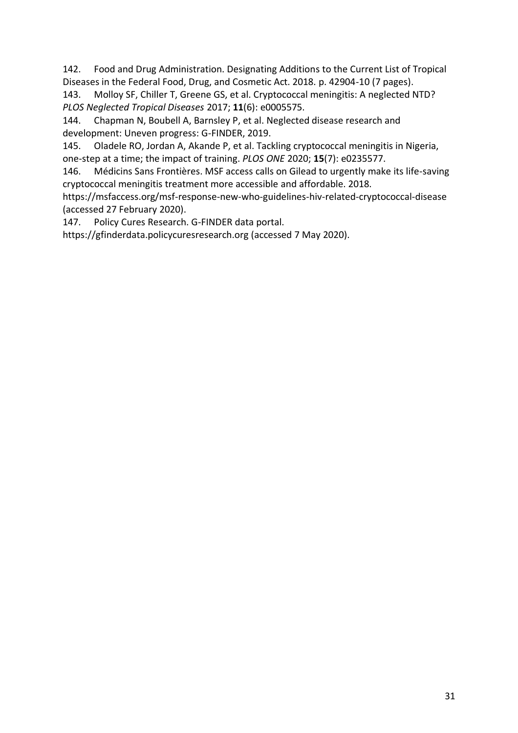142. Food and Drug Administration. Designating Additions to the Current List of Tropical Diseases in the Federal Food, Drug, and Cosmetic Act. 2018. p. 42904-10 (7 pages).

143. Molloy SF, Chiller T, Greene GS, et al. Cryptococcal meningitis: A neglected NTD? *PLOS Neglected Tropical Diseases* 2017; **11**(6): e0005575.

144. Chapman N, Boubell A, Barnsley P, et al. Neglected disease research and development: Uneven progress: G-FINDER, 2019.

145. Oladele RO, Jordan A, Akande P, et al. Tackling cryptococcal meningitis in Nigeria, one-step at a time; the impact of training. *PLOS ONE* 2020; **15**(7): e0235577.

146. Médicins Sans Frontières. MSF access calls on Gilead to urgently make its life-saving cryptococcal meningitis treatment more accessible and affordable. 2018.

https://msfaccess.org/msf-response-new-who-guidelines-hiv-related-cryptococcal-disease (accessed 27 February 2020).

147. Policy Cures Research. G-FINDER data portal.

https://gfinderdata.policycuresresearch.org (accessed 7 May 2020).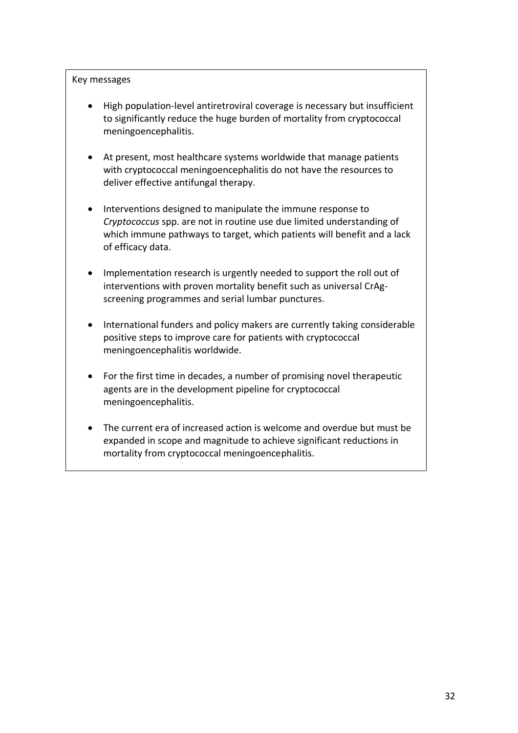#### Key messages

- High population-level antiretroviral coverage is necessary but insufficient to significantly reduce the huge burden of mortality from cryptococcal meningoencephalitis.
- At present, most healthcare systems worldwide that manage patients with cryptococcal meningoencephalitis do not have the resources to deliver effective antifungal therapy.
- Interventions designed to manipulate the immune response to *Cryptococcus* spp. are not in routine use due limited understanding of which immune pathways to target, which patients will benefit and a lack of efficacy data.
- Implementation research is urgently needed to support the roll out of interventions with proven mortality benefit such as universal CrAgscreening programmes and serial lumbar punctures.
- International funders and policy makers are currently taking considerable positive steps to improve care for patients with cryptococcal meningoencephalitis worldwide.
- For the first time in decades, a number of promising novel therapeutic agents are in the development pipeline for cryptococcal meningoencephalitis.
- The current era of increased action is welcome and overdue but must be expanded in scope and magnitude to achieve significant reductions in mortality from cryptococcal meningoencephalitis.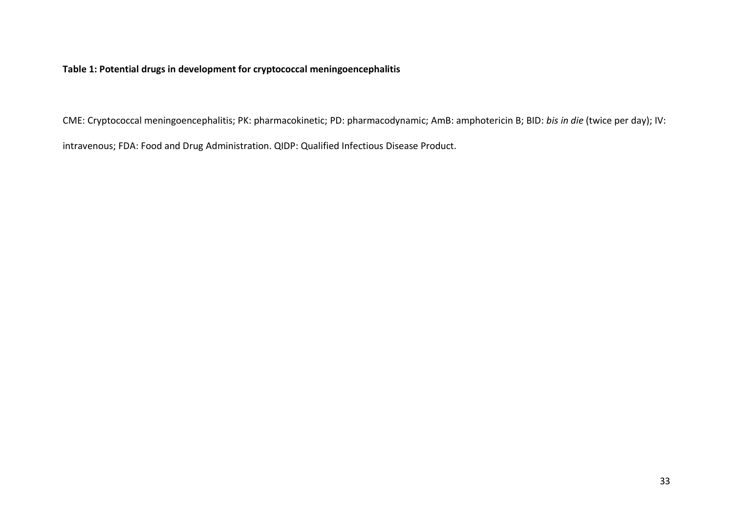**Table 1: Potential drugs in development for cryptococcal meningoencephalitis** 

CME: Cryptococcal meningoencephalitis; PK: pharmacokinetic; PD: pharmacodynamic; AmB: amphotericin B; BID: *bis in die* (twice per day); IV:

intravenous; FDA: Food and Drug Administration. QIDP: Qualified Infectious Disease Product.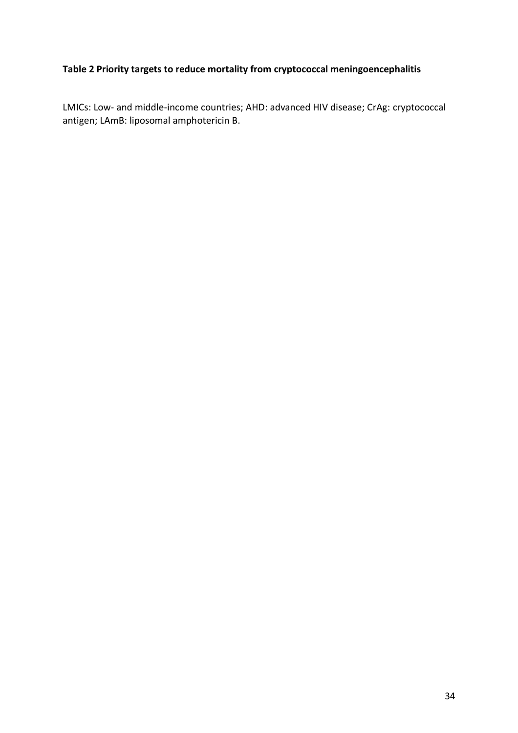# **Table 2 Priority targets to reduce mortality from cryptococcal meningoencephalitis**

LMICs: Low- and middle-income countries; AHD: advanced HIV disease; CrAg: cryptococcal antigen; LAmB: liposomal amphotericin B.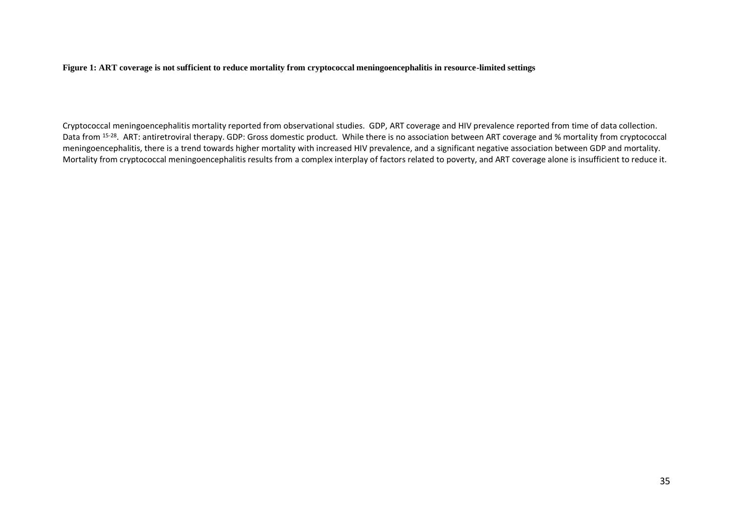**Figure 1: ART coverage is not sufficient to reduce mortality from cryptococcal meningoencephalitis in resource-limited settings**

Cryptococcal meningoencephalitis mortality reported from observational studies. GDP, ART coverage and HIV prevalence reported from time of data collection. Data from <sup>15-28</sup>. ART: antiretroviral therapy. GDP: Gross domestic product. While there is no association between ART coverage and % mortality from cryptococcal meningoencephalitis, there is a trend towards higher mortality with increased HIV prevalence, and a significant negative association between GDP and mortality. Mortality from cryptococcal meningoencephalitis results from a complex interplay of factors related to poverty, and ART coverage alone is insufficient to reduce it.